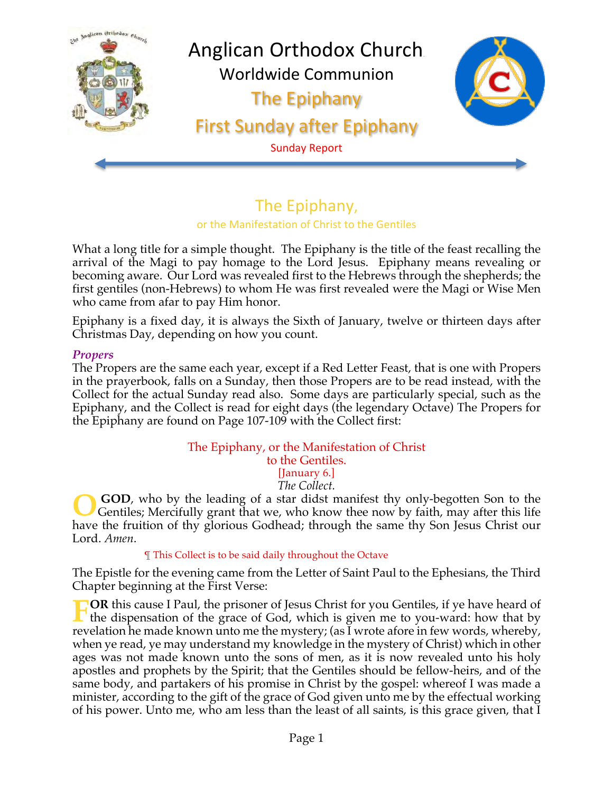

# The Epiphany,

or the Manifestation of Christ to the Gentiles

What a long title for a simple thought. The Epiphany is the title of the feast recalling the arrival of the Magi to pay homage to the Lord Jesus. Epiphany means revealing or becoming aware. Our Lord was revealed first to the Hebrews through the shepherds; the first gentiles (non-Hebrews) to whom He was first revealed were the Magi or Wise Men who came from afar to pay Him honor.

Epiphany is a fixed day, it is always the Sixth of January, twelve or thirteen days after Christmas Day, depending on how you count.

#### *Propers*

The Propers are the same each year, except if a Red Letter Feast, that is one with Propers in the prayerbook, falls on a Sunday, then those Propers are to be read instead, with the Collect for the actual Sunday read also. Some days are particularly special, such as the Epiphany, and the Collect is read for eight days (the legendary Octave) The Propers for the Epiphany are found on Page 107-109 with the Collect first:

#### The Epiphany, or the Manifestation of Christ to the Gentiles. [January 6.]

*The Collect.*

**GOD**, who by the leading of a star didst manifest thy only-begotten Son to the Gentiles; Mercifully grant that we, who know thee now by faith, may after this life have the fruition of thy glorious Godhead; through the same thy Son Jesus Christ our Lord. *Amen*. **O**

#### ¶ This Collect is to be said daily throughout the Octave

The Epistle for the evening came from the Letter of Saint Paul to the Ephesians, the Third Chapter beginning at the First Verse:

**OR** this cause I Paul, the prisoner of Jesus Christ for you Gentiles, if ye have heard of **FOR** this cause I Paul, the prisoner of Jesus Christ for you Gentiles, if ye have heard of the dispensation of the grace of God, which is given me to you-ward: how that by revelation he made known unto me the mystery; (as I wrote afore in few words, whereby, when ye read, ye may understand my knowledge in the mystery of Christ) which in other ages was not made known unto the sons of men, as it is now revealed unto his holy apostles and prophets by the Spirit; that the Gentiles should be fellow-heirs, and of the same body, and partakers of his promise in Christ by the gospel: whereof I was made a minister, according to the gift of the grace of God given unto me by the effectual working of his power. Unto me, who am less than the least of all saints, is this grace given, that I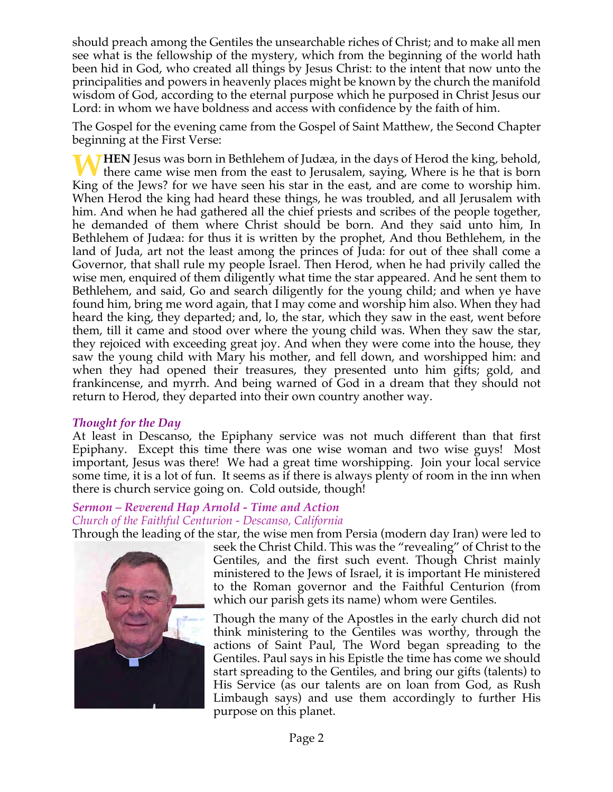should preach among the Gentiles the unsearchable riches of Christ; and to make all men see what is the fellowship of the mystery, which from the beginning of the world hath been hid in God, who created all things by Jesus Christ: to the intent that now unto the principalities and powers in heavenly places might be known by the church the manifold wisdom of God, according to the eternal purpose which he purposed in Christ Jesus our Lord: in whom we have boldness and access with confidence by the faith of him.

The Gospel for the evening came from the Gospel of Saint Matthew, the Second Chapter beginning at the First Verse:

**HEN** Jesus was born in Bethlehem of Judæa, in the days of Herod the king, behold, there came wise men from the east to Jerusalem, saying, Where is he that is born King of the Jews? for we have seen his star in the east, and are come to worship him. When Herod the king had heard these things, he was troubled, and all Jerusalem with him. And when he had gathered all the chief priests and scribes of the people together, he demanded of them where Christ should be born. And they said unto him, In Bethlehem of Judæa: for thus it is written by the prophet, And thou Bethlehem, in the land of Juda, art not the least among the princes of Juda: for out of thee shall come a Governor, that shall rule my people Israel. Then Herod, when he had privily called the wise men, enquired of them diligently what time the star appeared. And he sent them to Bethlehem, and said, Go and search diligently for the young child; and when ye have found him, bring me word again, that I may come and worship him also. When they had heard the king, they departed; and, lo, the star, which they saw in the east, went before them, till it came and stood over where the young child was. When they saw the star, they rejoiced with exceeding great joy. And when they were come into the house, they saw the young child with Mary his mother, and fell down, and worshipped him: and when they had opened their treasures, they presented unto him gifts; gold, and frankincense, and myrrh. And being warned of God in a dream that they should not return to Herod, they departed into their own country another way. **W**

#### *Thought for the Day*

At least in Descanso, the Epiphany service was not much different than that first Epiphany. Except this time there was one wise woman and two wise guys! Most important, Jesus was there! We had a great time worshipping. Join your local service some time, it is a lot of fun. It seems as if there is always plenty of room in the inn when there is church service going on. Cold outside, though!

# *Sermon – Reverend Hap Arnold - Time and Action*

*Church of the Faithful Centurion - Descanso, California*

Through the leading of the star, the wise men from Persia (modern day Iran) were led to



seek the Christ Child. This was the "revealing" of Christ to the Gentiles, and the first such event. Though Christ mainly ministered to the Jews of Israel, it is important He ministered to the Roman governor and the Faithful Centurion (from which our parish gets its name) whom were Gentiles.

Though the many of the Apostles in the early church did not think ministering to the Gentiles was worthy, through the actions of Saint Paul, The Word began spreading to the Gentiles. Paul says in his Epistle the time has come we should start spreading to the Gentiles, and bring our gifts (talents) to His Service (as our talents are on loan from God, as Rush Limbaugh says) and use them accordingly to further His purpose on this planet.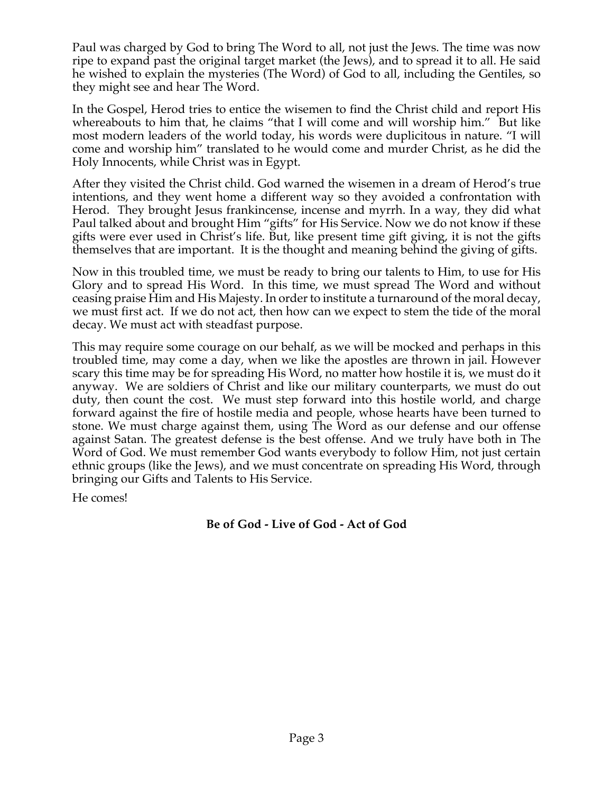Paul was charged by God to bring The Word to all, not just the Jews. The time was now ripe to expand past the original target market (the Jews), and to spread it to all. He said he wished to explain the mysteries (The Word) of God to all, including the Gentiles, so they might see and hear The Word.

In the Gospel, Herod tries to entice the wisemen to find the Christ child and report His whereabouts to him that, he claims "that I will come and will worship him." But like most modern leaders of the world today, his words were duplicitous in nature. "I will come and worship him" translated to he would come and murder Christ, as he did the Holy Innocents, while Christ was in Egypt.

After they visited the Christ child. God warned the wisemen in a dream of Herod's true intentions, and they went home a different way so they avoided a confrontation with Herod. They brought Jesus frankincense, incense and myrrh. In a way, they did what Paul talked about and brought Him "gifts" for His Service. Now we do not know if these gifts were ever used in Christ's life. But, like present time gift giving, it is not the gifts themselves that are important. It is the thought and meaning behind the giving of gifts.

Now in this troubled time, we must be ready to bring our talents to Him, to use for His Glory and to spread His Word. In this time, we must spread The Word and without ceasing praise Him and His Majesty. In order to institute a turnaround of the moral decay, we must first act. If we do not act, then how can we expect to stem the tide of the moral decay. We must act with steadfast purpose.

This may require some courage on our behalf, as we will be mocked and perhaps in this troubled time, may come a day, when we like the apostles are thrown in jail. However scary this time may be for spreading His Word, no matter how hostile it is, we must do it anyway. We are soldiers of Christ and like our military counterparts, we must do out duty, then count the cost. We must step forward into this hostile world, and charge forward against the fire of hostile media and people, whose hearts have been turned to stone. We must charge against them, using The Word as our defense and our offense against Satan. The greatest defense is the best offense. And we truly have both in The Word of God. We must remember God wants everybody to follow Him, not just certain ethnic groups (like the Jews), and we must concentrate on spreading His Word, through bringing our Gifts and Talents to His Service.

He comes!

# **Be of God - Live of God - Act of God**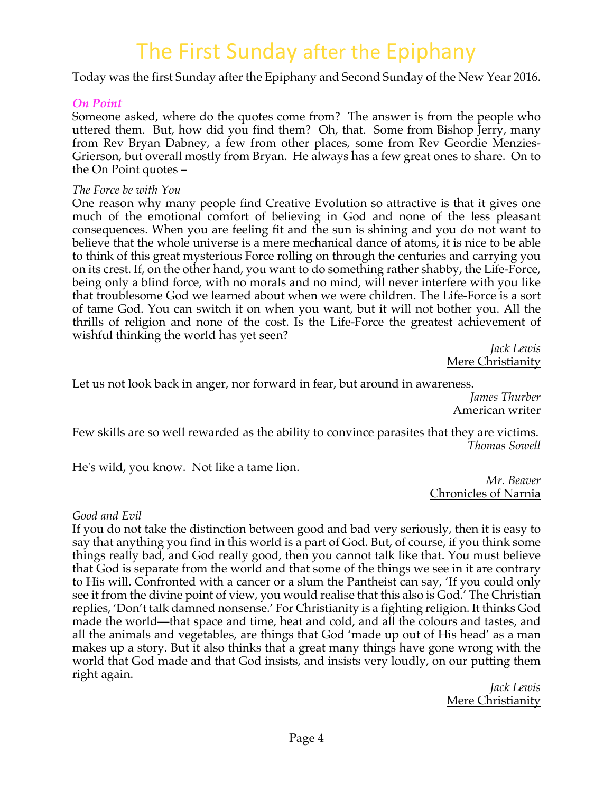# The First Sunday after the Epiphany

Today was the first Sunday after the Epiphany and Second Sunday of the New Year 2016.

#### *On Point*

Someone asked, where do the quotes come from? The answer is from the people who uttered them. But, how did you find them? Oh, that. Some from Bishop Jerry, many from Rev Bryan Dabney, a few from other places, some from Rev Geordie Menzies-Grierson, but overall mostly from Bryan. He always has a few great ones to share. On to the On Point quotes –

#### *The Force be with You*

One reason why many people find Creative Evolution so attractive is that it gives one much of the emotional comfort of believing in God and none of the less pleasant consequences. When you are feeling fit and the sun is shining and you do not want to believe that the whole universe is a mere mechanical dance of atoms, it is nice to be able to think of this great mysterious Force rolling on through the centuries and carrying you on its crest. If, on the other hand, you want to do something rather shabby, the Life-Force, being only a blind force, with no morals and no mind, will never interfere with you like that troublesome God we learned about when we were children. The Life-Force is a sort of tame God. You can switch it on when you want, but it will not bother you. All the thrills of religion and none of the cost. Is the Life-Force the greatest achievement of wishful thinking the world has yet seen?

*Jack Lewis* Mere Christianity

Let us not look back in anger, nor forward in fear, but around in awareness.

*James Thurber* American writer

Few skills are so well rewarded as the ability to convince parasites that they are victims. *Thomas Sowell*

He's wild, you know. Not like a tame lion.

*Mr. Beaver* Chronicles of Narnia

#### *Good and Evil*

If you do not take the distinction between good and bad very seriously, then it is easy to say that anything you find in this world is a part of God. But, of course, if you think some things really bad, and God really good, then you cannot talk like that. You must believe that God is separate from the world and that some of the things we see in it are contrary to His will. Confronted with a cancer or a slum the Pantheist can say, 'If you could only see it from the divine point of view, you would realise that this also is God.' The Christian replies, 'Don't talk damned nonsense.' For Christianity is a fighting religion. It thinks God made the world—that space and time, heat and cold, and all the colours and tastes, and all the animals and vegetables, are things that God 'made up out of His head' as a man makes up a story. But it also thinks that a great many things have gone wrong with the world that God made and that God insists, and insists very loudly, on our putting them right again.

*Jack Lewis* Mere Christianity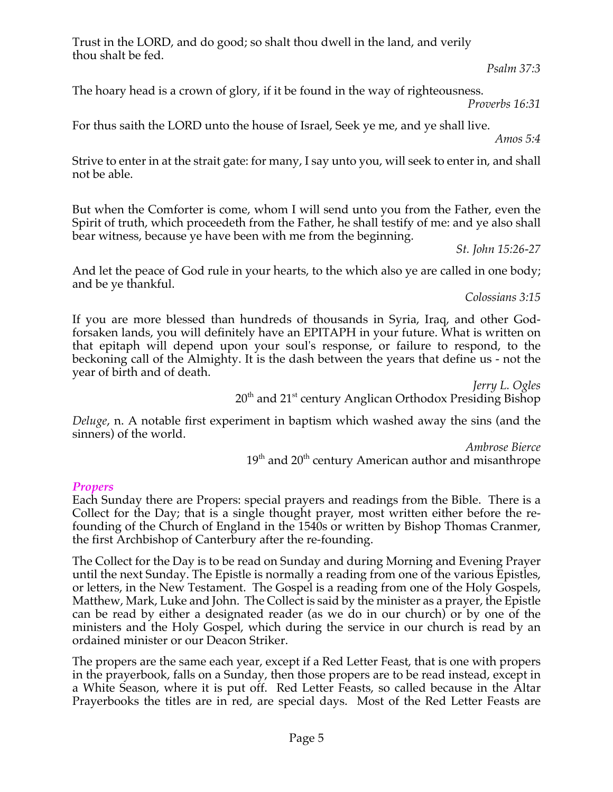*Psalm 37:3*

The hoary head is a crown of glory, if it be found in the way of righteousness.

*Proverbs 16:31*

For thus saith the LORD unto the house of Israel, Seek ye me, and ye shall live.

*Amos 5:4*

Strive to enter in at the strait gate: for many, I say unto you, will seek to enter in, and shall not be able.

But when the Comforter is come, whom I will send unto you from the Father, even the Spirit of truth, which proceedeth from the Father, he shall testify of me: and ye also shall bear witness, because ye have been with me from the beginning.

*St. John 15:26-27*

And let the peace of God rule in your hearts, to the which also ye are called in one body; and be ye thankful.

*Colossians 3:15*

If you are more blessed than hundreds of thousands in Syria, Iraq, and other Godforsaken lands, you will definitely have an EPITAPH in your future. What is written on that epitaph will depend upon your soul's response, or failure to respond, to the beckoning call of the Almighty. It is the dash between the years that define us - not the year of birth and of death.

*Jerry L. Ogles* 20<sup>th</sup> and 21<sup>st</sup> century Anglican Orthodox Presiding Bishop

*Deluge*, n. A notable first experiment in baptism which washed away the sins (and the sinners) of the world.

*Ambrose Bierce*

19<sup>th</sup> and 20<sup>th</sup> century American author and misanthrope

# *Propers*

Each Sunday there are Propers: special prayers and readings from the Bible. There is a Collect for the Day; that is a single thought prayer, most written either before the refounding of the Church of England in the 1540s or written by Bishop Thomas Cranmer, the first Archbishop of Canterbury after the re-founding.

The Collect for the Day is to be read on Sunday and during Morning and Evening Prayer until the next Sunday. The Epistle is normally a reading from one of the various Epistles, or letters, in the New Testament. The Gospel is a reading from one of the Holy Gospels, Matthew, Mark, Luke and John. The Collect is said by the minister as a prayer, the Epistle can be read by either a designated reader (as we do in our church) or by one of the ministers and the Holy Gospel, which during the service in our church is read by an ordained minister or our Deacon Striker.

The propers are the same each year, except if a Red Letter Feast, that is one with propers in the prayerbook, falls on a Sunday, then those propers are to be read instead, except in a White Season, where it is put off. Red Letter Feasts, so called because in the Altar Prayerbooks the titles are in red, are special days. Most of the Red Letter Feasts are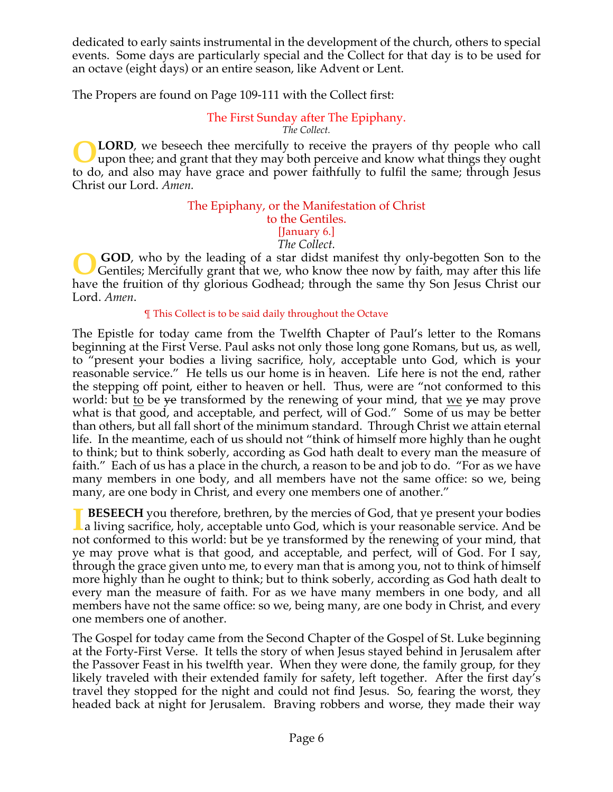dedicated to early saints instrumental in the development of the church, others to special events. Some days are particularly special and the Collect for that day is to be used for an octave (eight days) or an entire season, like Advent or Lent.

The Propers are found on Page 109-111 with the Collect first:

# The First Sunday after The Epiphany.

*The Collect.*

**LORD**, we beseech thee mercifully to receive the prayers of thy people who call upon thee; and grant that they may both perceive and know what things they ought to do, and also may have grace and power faithfully to fulfil the same; through Jesus Christ our Lord. *Amen.* **O**

# The Epiphany, or the Manifestation of Christ to the Gentiles. [January 6.] *The Collect.*

**GOD**, who by the leading of a star didst manifest thy only-begotten Son to the Gentiles; Mercifully grant that we, who know thee now by faith, may after this life have the fruition of thy glorious Godhead; through the same thy Son Jesus Christ our Lord. *Amen*. **O**

#### ¶ This Collect is to be said daily throughout the Octave

The Epistle for today came from the Twelfth Chapter of Paul's letter to the Romans beginning at the First Verse. Paul asks not only those long gone Romans, but us, as well, to "present your bodies a living sacrifice, holy, acceptable unto God, which is your reasonable service." He tells us our home is in heaven. Life here is not the end, rather the stepping off point, either to heaven or hell. Thus, were are "not conformed to this world: but to be  $\gamma e$  transformed by the renewing of your mind, that we  $\gamma e$  may prove what is that good, and acceptable, and perfect, will of God." Some of us may be better than others, but all fall short of the minimum standard. Through Christ we attain eternal life. In the meantime, each of us should not "think of himself more highly than he ought to think; but to think soberly, according as God hath dealt to every man the measure of faith." Each of us has a place in the church, a reason to be and job to do. "For as we have many members in one body, and all members have not the same office: so we, being many, are one body in Christ, and every one members one of another."

**BESEECH** you therefore, brethren, by the mercies of God, that ye present your bodies **EXECH** you therefore, brethren, by the mercies of God, that ye present your bodies a living sacrifice, holy, acceptable unto God, which is your reasonable service. And be not conformed to this world: but be ye transformed by the renewing of your mind, that ye may prove what is that good, and acceptable, and perfect, will of God. For I say, through the grace given unto me, to every man that is among you, not to think of himself more highly than he ought to think; but to think soberly, according as God hath dealt to every man the measure of faith. For as we have many members in one body, and all members have not the same office: so we, being many, are one body in Christ, and every one members one of another.

The Gospel for today came from the Second Chapter of the Gospel of St. Luke beginning at the Forty-First Verse. It tells the story of when Jesus stayed behind in Jerusalem after the Passover Feast in his twelfth year. When they were done, the family group, for they likely traveled with their extended family for safety, left together. After the first day's travel they stopped for the night and could not find Jesus. So, fearing the worst, they headed back at night for Jerusalem. Braving robbers and worse, they made their way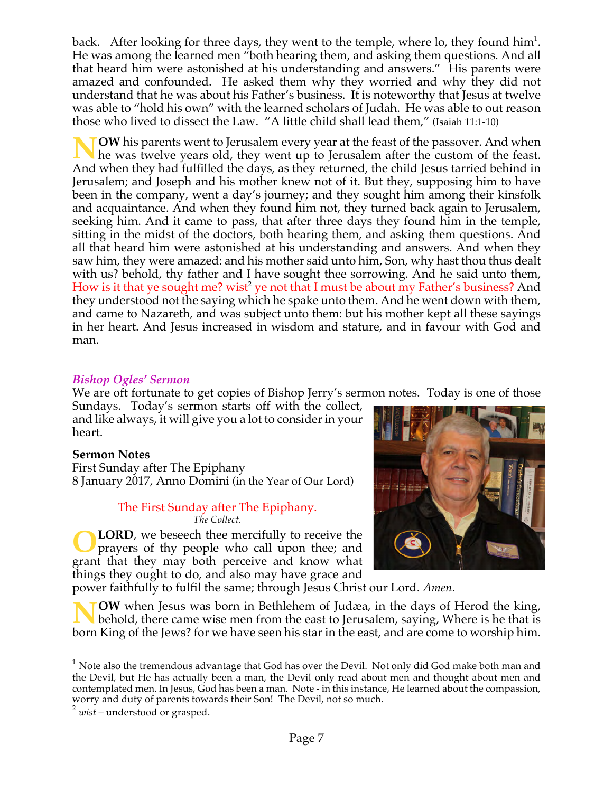back. After looking for three days, they went to the temple, where lo, they found him<sup>1</sup>. He was among the learned men "both hearing them, and asking them questions. And all that heard him were astonished at his understanding and answers." His parents were amazed and confounded. He asked them why they worried and why they did not understand that he was about his Father's business. It is noteworthy that Jesus at twelve was able to "hold his own" with the learned scholars of Judah. He was able to out reason those who lived to dissect the Law. "A little child shall lead them," (Isaiah 11:1-10)

**OW** his parents went to Jerusalem every year at the feast of the passover. And when he was twelve years old, they went up to Jerusalem after the custom of the feast. And when they had fulfilled the days, as they returned, the child Jesus tarried behind in Jerusalem; and Joseph and his mother knew not of it. But they, supposing him to have been in the company, went a day's journey; and they sought him among their kinsfolk and acquaintance. And when they found him not, they turned back again to Jerusalem, seeking him. And it came to pass, that after three days they found him in the temple, sitting in the midst of the doctors, both hearing them, and asking them questions. And all that heard him were astonished at his understanding and answers. And when they saw him, they were amazed: and his mother said unto him, Son, why hast thou thus dealt with us? behold, thy father and I have sought thee sorrowing. And he said unto them, How is it that ye sought me? wist<sup>2</sup> ye not that I must be about my Father's business? And they understood not the saying which he spake unto them. And he went down with them, and came to Nazareth, and was subject unto them: but his mother kept all these sayings in her heart. And Jesus increased in wisdom and stature, and in favour with God and man. **N**

## *Bishop Ogles' Sermon*

We are oft fortunate to get copies of Bishop Jerry's sermon notes. Today is one of those

Sundays. Today's sermon starts off with the collect, and like always, it will give you a lot to consider in your heart.

#### **Sermon Notes**

First Sunday after The Epiphany 8 January 2017, Anno Domini (in the Year of Our Lord)

#### The First Sunday after The Epiphany. *The Collect.*

**LORD**, we beseech thee mercifully to receive the prayers of thy people who call upon thee; and grant that they may both perceive and know what things they ought to do, and also may have grace and **O**



power faithfully to fulfil the same; through Jesus Christ our Lord. *Amen.*

**OW** when Jesus was born in Bethlehem of Judæa, in the days of Herod the king, behold, there came wise men from the east to Jerusalem, saying, Where is he that is born King of the Jews? for we have seen his star in the east, and are come to worship him. **N**

<sup>2</sup> *wist* – understood or grasped.

 $1$  Note also the tremendous advantage that God has over the Devil. Not only did God make both man and the Devil, but He has actually been a man, the Devil only read about men and thought about men and contemplated men. In Jesus, God has been a man. Note - in this instance, He learned about the compassion, worry and duty of parents towards their Son! The Devil, not so much.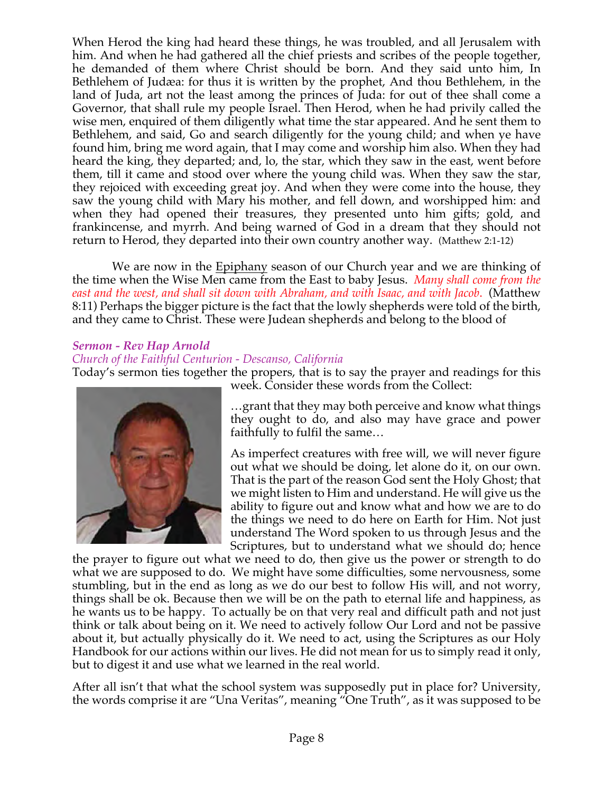When Herod the king had heard these things, he was troubled, and all Jerusalem with him. And when he had gathered all the chief priests and scribes of the people together, he demanded of them where Christ should be born. And they said unto him, In Bethlehem of Judæa: for thus it is written by the prophet, And thou Bethlehem, in the land of Juda, art not the least among the princes of Juda: for out of thee shall come a Governor, that shall rule my people Israel. Then Herod, when he had privily called the wise men, enquired of them diligently what time the star appeared. And he sent them to Bethlehem, and said, Go and search diligently for the young child; and when ye have found him, bring me word again, that I may come and worship him also. When they had heard the king, they departed; and, lo, the star, which they saw in the east, went before them, till it came and stood over where the young child was. When they saw the star, they rejoiced with exceeding great joy. And when they were come into the house, they saw the young child with Mary his mother, and fell down, and worshipped him: and when they had opened their treasures, they presented unto him gifts; gold, and frankincense, and myrrh. And being warned of God in a dream that they should not return to Herod, they departed into their own country another way. (Matthew 2:1-12)

We are now in the Epiphany season of our Church year and we are thinking of the time when the Wise Men came from the East to baby Jesus. *Many shall come from the east and the west, and shall sit down with Abraham, and with Isaac, and with Jacob*. (Matthew 8:11) Perhaps the bigger picture is the fact that the lowly shepherds were told of the birth, and they came to Christ. These were Judean shepherds and belong to the blood of

## *Sermon - Rev Hap Arnold*

#### *Church of the Faithful Centurion - Descanso, California*

Today's sermon ties together the propers, that is to say the prayer and readings for this week. Consider these words from the Collect:



…grant that they may both perceive and know what things they ought to do, and also may have grace and power faithfully to fulfil the same…

As imperfect creatures with free will, we will never figure out what we should be doing, let alone do it, on our own. That is the part of the reason God sent the Holy Ghost; that we might listen to Him and understand. He will give us the ability to figure out and know what and how we are to do the things we need to do here on Earth for Him. Not just understand The Word spoken to us through Jesus and the Scriptures, but to understand what we should do; hence

the prayer to figure out what we need to do, then give us the power or strength to do what we are supposed to do. We might have some difficulties, some nervousness, some stumbling, but in the end as long as we do our best to follow His will, and not worry, things shall be ok. Because then we will be on the path to eternal life and happiness, as he wants us to be happy. To actually be on that very real and difficult path and not just think or talk about being on it. We need to actively follow Our Lord and not be passive about it, but actually physically do it. We need to act, using the Scriptures as our Holy Handbook for our actions within our lives. He did not mean for us to simply read it only, but to digest it and use what we learned in the real world.

After all isn't that what the school system was supposedly put in place for? University, the words comprise it are "Una Veritas", meaning "One Truth", as it was supposed to be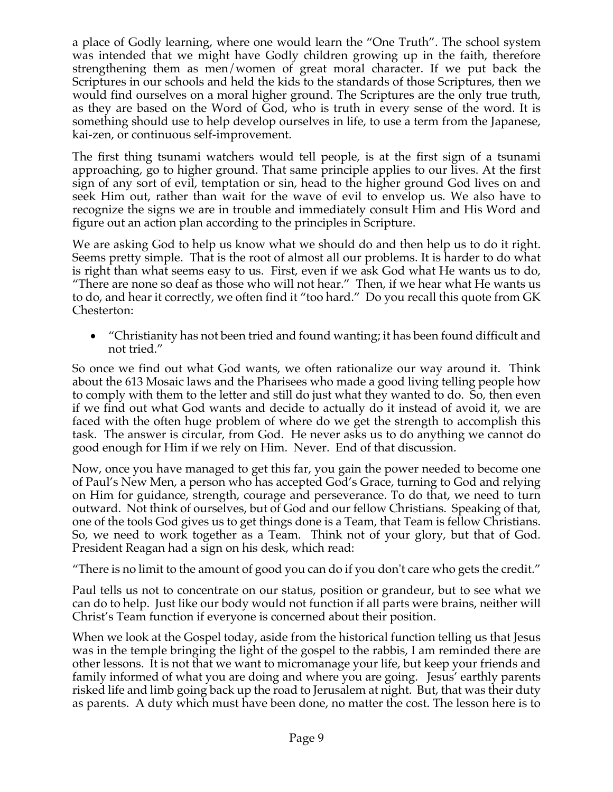a place of Godly learning, where one would learn the "One Truth". The school system was intended that we might have Godly children growing up in the faith, therefore strengthening them as men/women of great moral character. If we put back the Scriptures in our schools and held the kids to the standards of those Scriptures, then we would find ourselves on a moral higher ground. The Scriptures are the only true truth, as they are based on the Word of God, who is truth in every sense of the word. It is something should use to help develop ourselves in life, to use a term from the Japanese, kai-zen, or continuous self-improvement.

The first thing tsunami watchers would tell people, is at the first sign of a tsunami approaching, go to higher ground. That same principle applies to our lives. At the first sign of any sort of evil, temptation or sin, head to the higher ground God lives on and seek Him out, rather than wait for the wave of evil to envelop us. We also have to recognize the signs we are in trouble and immediately consult Him and His Word and figure out an action plan according to the principles in Scripture.

We are asking God to help us know what we should do and then help us to do it right. Seems pretty simple. That is the root of almost all our problems. It is harder to do what is right than what seems easy to us. First, even if we ask God what He wants us to do, "There are none so deaf as those who will not hear." Then, if we hear what He wants us to do, and hear it correctly, we often find it "too hard." Do you recall this quote from GK Chesterton:

• "Christianity has not been tried and found wanting; it has been found difficult and not tried."

So once we find out what God wants, we often rationalize our way around it. Think about the 613 Mosaic laws and the Pharisees who made a good living telling people how to comply with them to the letter and still do just what they wanted to do. So, then even if we find out what God wants and decide to actually do it instead of avoid it, we are faced with the often huge problem of where do we get the strength to accomplish this task. The answer is circular, from God. He never asks us to do anything we cannot do good enough for Him if we rely on Him. Never. End of that discussion.

Now, once you have managed to get this far, you gain the power needed to become one of Paul's New Men, a person who has accepted God's Grace, turning to God and relying on Him for guidance, strength, courage and perseverance. To do that, we need to turn outward. Not think of ourselves, but of God and our fellow Christians. Speaking of that, one of the tools God gives us to get things done is a Team, that Team is fellow Christians. So, we need to work together as a Team. Think not of your glory, but that of God. President Reagan had a sign on his desk, which read:

"There is no limit to the amount of good you can do if you don't care who gets the credit."

Paul tells us not to concentrate on our status, position or grandeur, but to see what we can do to help. Just like our body would not function if all parts were brains, neither will Christ's Team function if everyone is concerned about their position.

When we look at the Gospel today, aside from the historical function telling us that Jesus was in the temple bringing the light of the gospel to the rabbis, I am reminded there are other lessons. It is not that we want to micromanage your life, but keep your friends and family informed of what you are doing and where you are going. Jesus' earthly parents risked life and limb going back up the road to Jerusalem at night. But, that was their duty as parents. A duty which must have been done, no matter the cost. The lesson here is to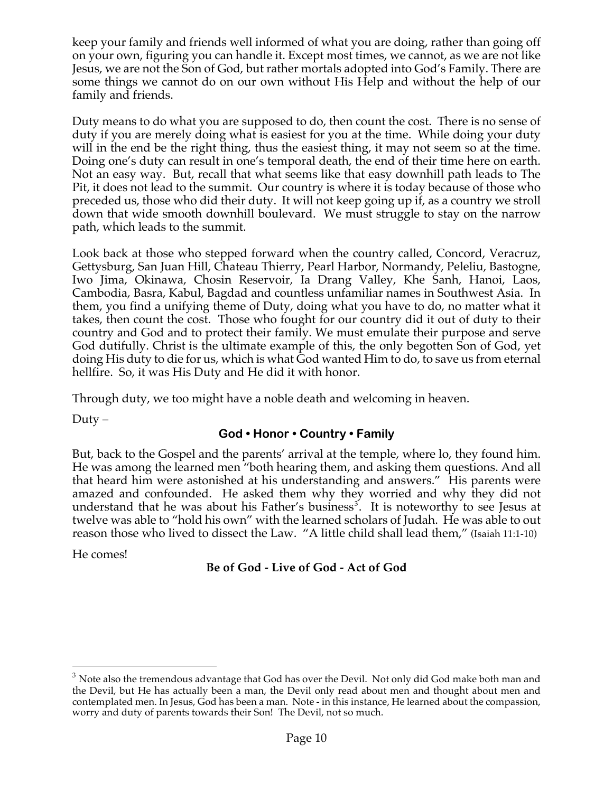keep your family and friends well informed of what you are doing, rather than going off on your own, figuring you can handle it. Except most times, we cannot, as we are not like Jesus, we are not the Son of God, but rather mortals adopted into God's Family. There are some things we cannot do on our own without His Help and without the help of our family and friends.

Duty means to do what you are supposed to do, then count the cost. There is no sense of duty if you are merely doing what is easiest for you at the time. While doing your duty will in the end be the right thing, thus the easiest thing, it may not seem so at the time. Doing one's duty can result in one's temporal death, the end of their time here on earth. Not an easy way. But, recall that what seems like that easy downhill path leads to The Pit, it does not lead to the summit. Our country is where it is today because of those who preceded us, those who did their duty. It will not keep going up if, as a country we stroll down that wide smooth downhill boulevard. We must struggle to stay on the narrow path, which leads to the summit.

Look back at those who stepped forward when the country called, Concord, Veracruz, Gettysburg, San Juan Hill, Chateau Thierry, Pearl Harbor, Normandy, Peleliu, Bastogne, Iwo Jima, Okinawa, Chosin Reservoir, Ia Drang Valley, Khe Sanh, Hanoi, Laos, Cambodia, Basra, Kabul, Bagdad and countless unfamiliar names in Southwest Asia. In them, you find a unifying theme of Duty, doing what you have to do, no matter what it takes, then count the cost. Those who fought for our country did it out of duty to their country and God and to protect their family. We must emulate their purpose and serve God dutifully. Christ is the ultimate example of this, the only begotten Son of God, yet doing His duty to die for us, which is what God wanted Him to do, to save us from eternal hellfire. So, it was His Duty and He did it with honor.

Through duty, we too might have a noble death and welcoming in heaven.

 $Duty -$ 

# **God • Honor • Country • Family**

But, back to the Gospel and the parents' arrival at the temple, where lo, they found him. He was among the learned men "both hearing them, and asking them questions. And all that heard him were astonished at his understanding and answers." His parents were amazed and confounded. He asked them why they worried and why they did not understand that he was about his Father's business<sup>3</sup>. It is noteworthy to see Jesus at twelve was able to "hold his own" with the learned scholars of Judah. He was able to out reason those who lived to dissect the Law. "A little child shall lead them," (Isaiah 11:1-10)

He comes!

# **Be of God - Live of God - Act of God**

 $3$  Note also the tremendous advantage that God has over the Devil. Not only did God make both man and the Devil, but He has actually been a man, the Devil only read about men and thought about men and contemplated men. In Jesus, God has been a man. Note - in this instance, He learned about the compassion, worry and duty of parents towards their Son! The Devil, not so much.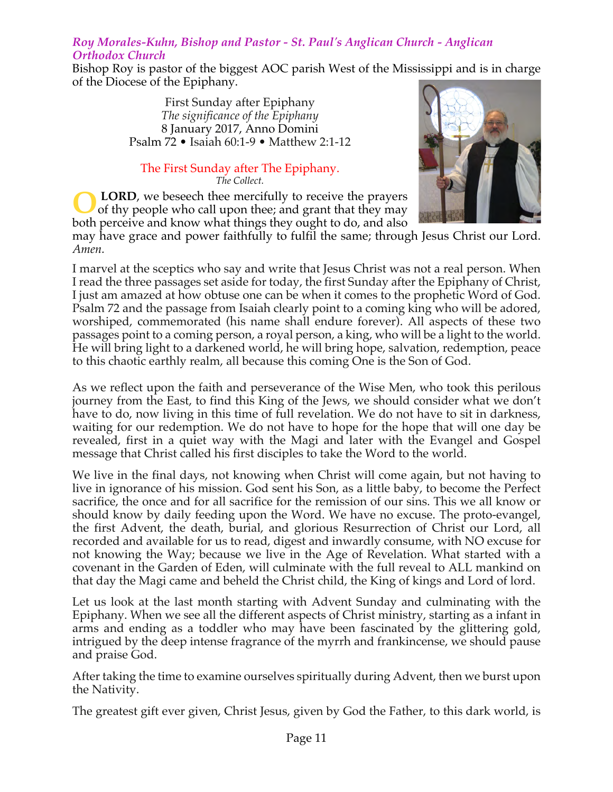# *Roy Morales-Kuhn, Bishop and Pastor - St. Paul's Anglican Church - Anglican Orthodox Church*

Bishop Roy is pastor of the biggest AOC parish West of the Mississippi and is in charge of the Diocese of the Epiphany.

> First Sunday after Epiphany *The significance of the Epiphany* 8 January 2017, Anno Domini Psalm 72 • Isaiah 60:1-9 • Matthew 2:1-12

The First Sunday after The Epiphany. *The Collect.*

**LORD**, we beseech thee mercifully to receive the prayers of thy people who call upon thee; and grant that they may both perceive and know what things they ought to do, and also **O**



may have grace and power faithfully to fulfil the same; through Jesus Christ our Lord. *Amen.*

I marvel at the sceptics who say and write that Jesus Christ was not a real person. When I read the three passages set aside for today, the first Sunday after the Epiphany of Christ, I just am amazed at how obtuse one can be when it comes to the prophetic Word of God. Psalm 72 and the passage from Isaiah clearly point to a coming king who will be adored, worshiped, commemorated (his name shall endure forever). All aspects of these two passages point to a coming person, a royal person, a king, who will be a light to the world. He will bring light to a darkened world, he will bring hope, salvation, redemption, peace to this chaotic earthly realm, all because this coming One is the Son of God.

As we reflect upon the faith and perseverance of the Wise Men, who took this perilous journey from the East, to find this King of the Jews, we should consider what we don't have to do, now living in this time of full revelation. We do not have to sit in darkness, waiting for our redemption. We do not have to hope for the hope that will one day be revealed, first in a quiet way with the Magi and later with the Evangel and Gospel message that Christ called his first disciples to take the Word to the world.

We live in the final days, not knowing when Christ will come again, but not having to live in ignorance of his mission. God sent his Son, as a little baby, to become the Perfect sacrifice, the once and for all sacrifice for the remission of our sins. This we all know or should know by daily feeding upon the Word. We have no excuse. The proto-evangel, the first Advent, the death, burial, and glorious Resurrection of Christ our Lord, all recorded and available for us to read, digest and inwardly consume, with NO excuse for not knowing the Way; because we live in the Age of Revelation. What started with a covenant in the Garden of Eden, will culminate with the full reveal to ALL mankind on that day the Magi came and beheld the Christ child, the King of kings and Lord of lord.

Let us look at the last month starting with Advent Sunday and culminating with the Epiphany. When we see all the different aspects of Christ ministry, starting as a infant in arms and ending as a toddler who may have been fascinated by the glittering gold, intrigued by the deep intense fragrance of the myrrh and frankincense, we should pause and praise God.

After taking the time to examine ourselves spiritually during Advent, then we burst upon the Nativity.

The greatest gift ever given, Christ Jesus, given by God the Father, to this dark world, is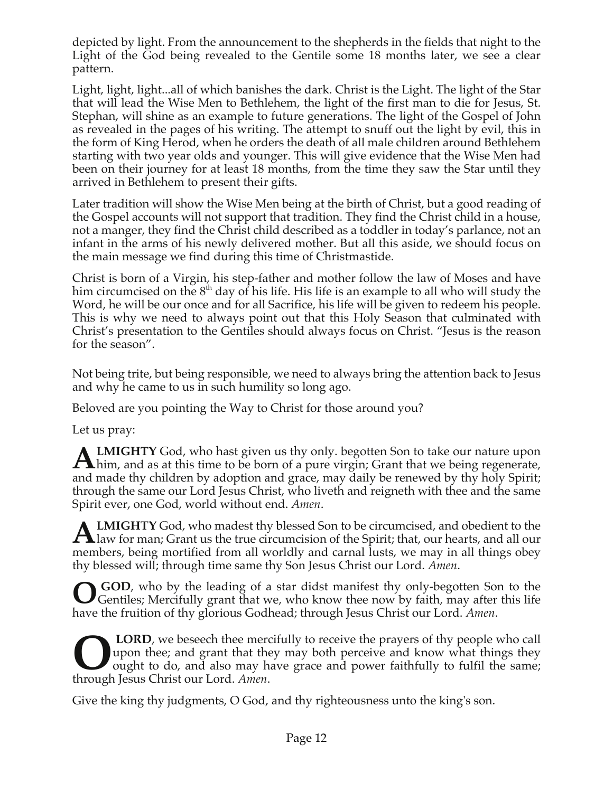depicted by light. From the announcement to the shepherds in the fields that night to the Light of the God being revealed to the Gentile some 18 months later, we see a clear pattern.

Light, light, light...all of which banishes the dark. Christ is the Light. The light of the Star that will lead the Wise Men to Bethlehem, the light of the first man to die for Jesus, St. Stephan, will shine as an example to future generations. The light of the Gospel of John as revealed in the pages of his writing. The attempt to snuff out the light by evil, this in the form of King Herod, when he orders the death of all male children around Bethlehem starting with two year olds and younger. This will give evidence that the Wise Men had been on their journey for at least 18 months, from the time they saw the Star until they arrived in Bethlehem to present their gifts.

Later tradition will show the Wise Men being at the birth of Christ, but a good reading of the Gospel accounts will not support that tradition. They find the Christ child in a house, not a manger, they find the Christ child described as a toddler in today's parlance, not an infant in the arms of his newly delivered mother. But all this aside, we should focus on the main message we find during this time of Christmastide.

Christ is born of a Virgin, his step-father and mother follow the law of Moses and have him circumcised on the  $8<sup>th</sup>$  day of his life. His life is an example to all who will study the Word, he will be our once and for all Sacrifice, his life will be given to redeem his people. This is why we need to always point out that this Holy Season that culminated with Christ's presentation to the Gentiles should always focus on Christ. "Jesus is the reason for the season".

Not being trite, but being responsible, we need to always bring the attention back to Jesus and why he came to us in such humility so long ago.

Beloved are you pointing the Way to Christ for those around you?

Let us pray:

**LMIGHTY** God, who hast given us thy only. begotten Son to take our nature upon **ALMIGHTY** God, who hast given us thy only. begotten Son to take our nature upon him, and as at this time to be born of a pure virgin; Grant that we being regenerate, and made thy children by adoption and grace, may daily be renewed by thy holy Spirit; through the same our Lord Jesus Christ, who liveth and reigneth with thee and the same Spirit ever, one God, world without end. *Amen*.

**LMIGHTY** God, who madest thy blessed Son to be circumcised, and obedient to the **ALMIGHTY** God, who madest thy blessed Son to be circumcised, and obedient to the law for man; Grant us the true circumcision of the Spirit; that, our hearts, and all our means has all our members, being mortified from all worldly and carnal lusts, we may in all things obey thy blessed will; through time same thy Son Jesus Christ our Lord. *Amen*.

GOD, who by the leading of a star didst manifest thy only-begotten Son to the Gentiles; Mercifully grant that we, who know thee now by faith, may after this life Gentiles; Mercifully grant that we, who know thee now by faith, may after this life have the fruition of thy glorious Godhead; through Jesus Christ our Lord. *Amen*.

**LORD**, we beseech thee mercifully to receive the prayers of thy people who call upon thee; and grant that they may both perceive and know what things they ought to do, and also may have grace and power faithfully to fulfil the same; **CORD**, we beseech thee merody upon thee; and grant that the ought to do, and also may h through Jesus Christ our Lord. *Amen*.

Give the king thy judgments, O God, and thy righteousness unto the king's son.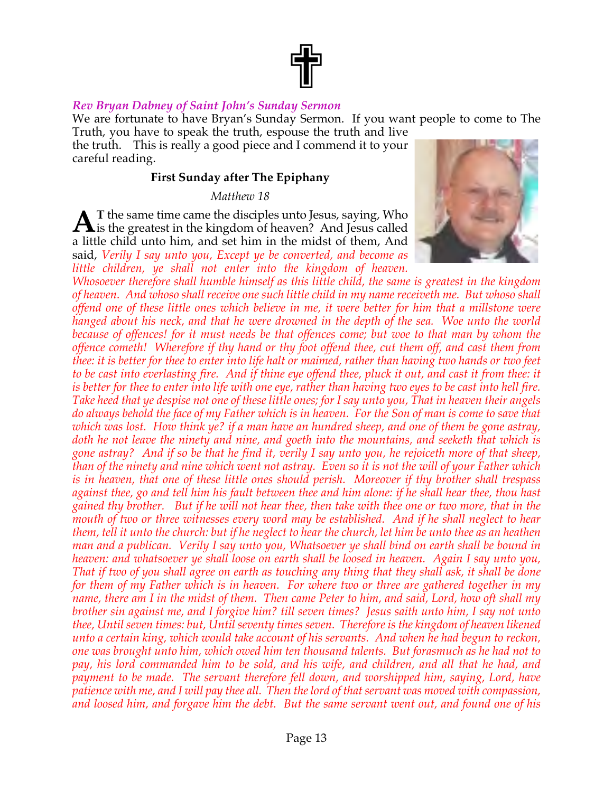# ✟

#### *Rev Bryan Dabney of Saint John's Sunday Sermon*

We are fortunate to have Bryan's Sunday Sermon. If you want people to come to The Truth, you have to speak the truth, espouse the truth and live

the truth. This is really a good piece and I commend it to your careful reading.

# **First Sunday after The Epiphany**

*Matthew 18*

**T** the same time came the disciples unto Jesus, saying, Who **A** T the same time came the disciples unto Jesus, saying, Who is the greatest in the kingdom of heaven? And Jesus called a little child unto him, and set him in the midst of them, And said, *Verily I say unto you, Except ye be converted, and become as little children, ye shall not enter into the kingdom of heaven.*



*Whosoever therefore shall humble himself as this little child, the same is greatest in the kingdom of heaven. And whoso shall receive one such little child in my name receiveth me. But whoso shall* offend one of these little ones which believe in me, it were better for him that a millstone were *hanged about his neck, and that he were drowned in the depth of the sea. Woe unto the world* because of offences! for it must needs be that offences come; but woe to that man by whom the *offence cometh! Wherefore if thy hand or thy foot offend thee, cut them off, and cast them from* thee: it is better for thee to enter into life halt or maimed, rather than having two hands or two feet to be cast into everlasting fire. And if thine eye offend thee, pluck it out, and cast it from thee: it is better for thee to enter into life with one eye, rather than having two eyes to be cast into hell fire. Take heed that ye despise not one of these little ones; for I say unto you, That in heaven their angels do always behold the face of my Father which is in heaven. For the Son of man is come to save that which was lost. How think ye? if a man have an hundred sheep, and one of them be gone astray, *doth he not leave the ninety and nine, and goeth into the mountains, and seeketh that which is* gone astray? And if so be that he find it, verily I say unto you, he rejoiceth more of that sheep, than of the ninety and nine which went not astray. Even so it is not the will of your Father which *is in heaven, that one of these little ones should perish. Moreover if thy brother shall trespass* against thee, go and tell him his fault between thee and him alone: if he shall hear thee, thou hast gained thy brother. But if he will not hear thee, then take with thee one or two more, that in the *mouth of two or three witnesses every word may be established. And if he shall neglect to hear* them, tell it unto the church: but if he neglect to hear the church, let him be unto thee as an heathen man and a publican. Verily I say unto you, Whatsoever ye shall bind on earth shall be bound in *heaven: and whatsoever ye shall loose on earth shall be loosed in heaven. Again I say unto you,* That if two of you shall agree on earth as touching any thing that they shall ask, it shall be done for them of my Father which is in heaven. For where two or three are gathered together in my name, there am I in the midst of them. Then came Peter to him, and said, Lord, how oft shall my brother sin against me, and I forgive him? till seven times? Jesus saith unto him, I say not unto *thee, Until seven times: but, Until seventy times seven. Therefore is the kingdom of heaven likened unto a certain king, which would take account of his servants. And when he had begun to reckon, one was brought unto him, which owed him ten thousand talents. But forasmuch as he had not to* pay, his lord commanded him to be sold, and his wife, and children, and all that he had, and *payment to be made. The servant therefore fell down, and worshipped him, saying, Lord, have patience with me, and I will pay thee all. Then thelord of thatservant was moved with compassion,* and loosed him, and forgave him the debt. But the same servant went out, and found one of his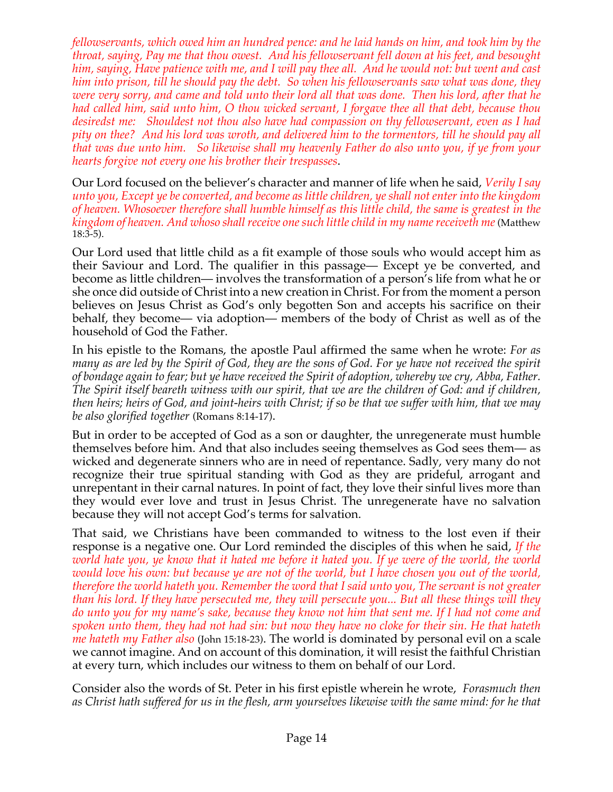*fellowservants, which owed him an hundred pence: and he laid hands on him, and took him by the throat, saying, Pay me that thou owest. And his fellowservant fell down at his feet, and besought* him, saying, Have patience with me, and I will pay thee all. And he would not: but went and cast *him into prison, till he should pay the debt. So when his fellowservants saw what was done, they* were very sorry, and came and told unto their lord all that was done. Then his lord, after that he *had called him, said unto him, O thou wicked servant, I forgave thee all that debt, because thou desiredst me: Shouldest not thou also have had compassion on thy fellowservant, even as I had* pity on thee? And his lord was wroth, and delivered him to the tormentors, till he should pay all that was due unto him. So likewise shall my heavenly Father do also unto you, if ye from your *hearts forgive not every one his brother their trespasses*.

Our Lord focused on the believer's character and manner of life when he said, *Verily I say* unto you, Except ye be converted, and become as little children, ye shall not enter into the kingdom *of heaven. Whosoever therefore shall humble himself as this little child, the same is greatest in the kingdom of heaven. And whoso shall receive one such little child in my namereceiveth me*(Matthew 18:3-5).

Our Lord used that little child as a fit example of those souls who would accept him as their Saviour and Lord. The qualifier in this passage— Except ye be converted, and become as little children— involves the transformation of a person's life from what he or she once did outside of Christ into a new creation in Christ. For from the moment a person believes on Jesus Christ as God's only begotten Son and accepts his sacrifice on their behalf, they become— via adoption— members of the body of Christ as well as of the household of God the Father.

In his epistle to the Romans, the apostle Paul affirmed the same when he wrote: *For as* many as are led by the Spirit of God, they are the sons of God. For ye have not received the spirit of bondage again to fear; but ye have received the Spirit of adoption, whereby we cry, Abba, Father. The Spirit itself beareth witness with our spirit, that we are the children of God: and if children, then heirs; heirs of God, and joint-heirs with Christ; if so be that we suffer with him, that we may *be also glorified together* (Romans 8:14-17).

But in order to be accepted of God as a son or daughter, the unregenerate must humble themselves before him. And that also includes seeing themselves as God sees them— as wicked and degenerate sinners who are in need of repentance. Sadly, very many do not recognize their true spiritual standing with God as they are prideful, arrogant and unrepentant in their carnal natures. In point of fact, they love their sinful lives more than they would ever love and trust in Jesus Christ. The unregenerate have no salvation because they will not accept God's terms for salvation.

That said, we Christians have been commanded to witness to the lost even if their response is a negative one. Our Lord reminded the disciples of this when he said, *If the* world hate you, ye know that it hated me before it hated you. If ye were of the world, the world would love his own: but because ye are not of the world, but I have chosen you out of the world, *therefore the world hateth you. Remember the word that I said unto you, The servant is not greater* than his lord. If they have persecuted me, they will persecute you... But all these things will they do unto you for my name's sake, because they know not him that sent me. If I had not come and spoken unto them, they had not had sin: but now they have no cloke for their sin. He that hateth *me hateth my Father also* (John 15:18-23). The world is dominated by personal evil on a scale we cannot imagine. And on account of this domination, it will resist the faithful Christian at every turn, which includes our witness to them on behalf of our Lord.

Consider also the words of St. Peter in his first epistle wherein he wrote, *Forasmuch then* as Christ hath suffered for us in the flesh, arm yourselves likewise with the same mind: for he that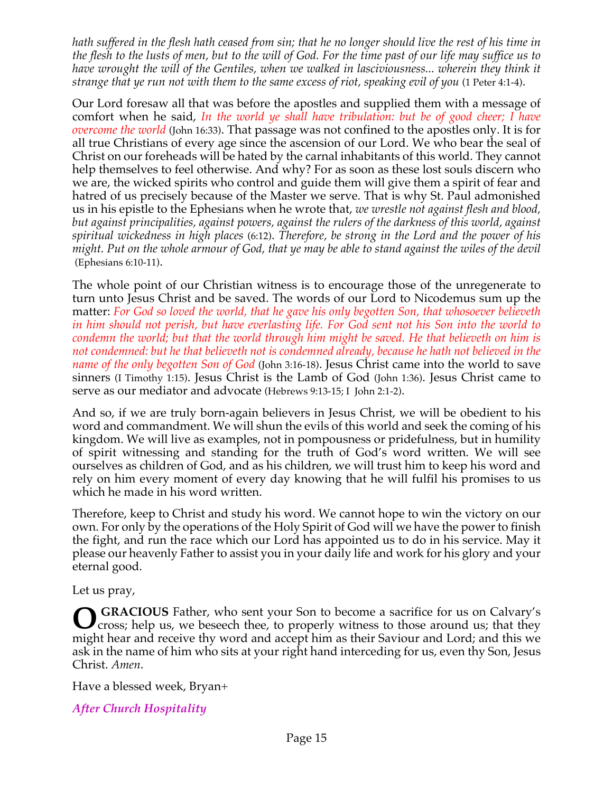hath suffered in the flesh hath ceased from sin; that he no longer should live the rest of his time in the flesh to the lusts of men, but to the will of God. For the time past of our life may suffice us to *have wrought the will of the Gentiles, when we walked in lasciviousness... wherein they think it strange that ye run not with them to the same excess of riot, speaking evil of you* (1 Peter 4:1-4).

Our Lord foresaw all that was before the apostles and supplied them with a message of comfort when he said, *In the world ye shall have tribulation: but be of good cheer; I have overcome the world* (John 16:33). That passage was not confined to the apostles only. It is for all true Christians of every age since the ascension of our Lord. We who bear the seal of Christ on our foreheads will be hated by the carnal inhabitants of this world. They cannot help themselves to feel otherwise. And why? For as soon as these lost souls discern who we are, the wicked spirits who control and guide them will give them a spirit of fear and hatred of us precisely because of the Master we serve. That is why St. Paul admonished us in his epistle to the Ephesians when he wrote that, *we wrestle not against flesh and blood, but against principalities, against powers, against the rulers of the darkness of this world, against spiritual wickedness in high places* (6:12). *Therefore, be strong in the Lord and the power of his* might. Put on the whole armour of God, that ye may be able to stand against the wiles of the devil (Ephesians 6:10-11).

The whole point of our Christian witness is to encourage those of the unregenerate to turn unto Jesus Christ and be saved. The words of our Lord to Nicodemus sum up the matter: *For God so loved the world, that he gave his only begotten Son, that whosoever believeth* in him should not perish, but have everlasting life. For God sent not his Son into the world to *condemn the world; but that the world through him might be saved. He that believeth on him is not condemned: but he that believeth not is condemned already, because he hath not believed in the name of the only begotten Son of God* (John 3:16-18). Jesus Christ came into the world to save sinners (I Timothy 1:15). Jesus Christ is the Lamb of God (John 1:36). Jesus Christ came to serve as our mediator and advocate (Hebrews 9:13-15; I John 2:1-2).

And so, if we are truly born-again believers in Jesus Christ, we will be obedient to his word and commandment. We will shun the evils of this world and seek the coming of his kingdom. We will live as examples, not in pompousness or pridefulness, but in humility of spirit witnessing and standing for the truth of God's word written. We will see ourselves as children of God, and as his children, we will trust him to keep his word and rely on him every moment of every day knowing that he will fulfil his promises to us which he made in his word written.

Therefore, keep to Christ and study his word. We cannot hope to win the victory on our own. For only by the operations of the Holy Spirit of God will we have the power to finish the fight, and run the race which our Lord has appointed us to do in his service. May it please our heavenly Father to assist you in your daily life and work for his glory and your eternal good.

Let us pray,

**GRACIOUS** Father, who sent your Son to become a sacrifice for us on Calvary's **O** GRACIOUS Father, who sent your Son to become a sacrifice for us on Calvary's cross; help us, we beseech thee, to properly witness to those around us; that they might hear and receive thy word and accept him as their Saviour and Lord; and this we ask in the name of him who sits at your right hand interceding for us, even thy Son, Jesus Christ. *Amen*.

Have a blessed week, Bryan+

*After Church Hospitality*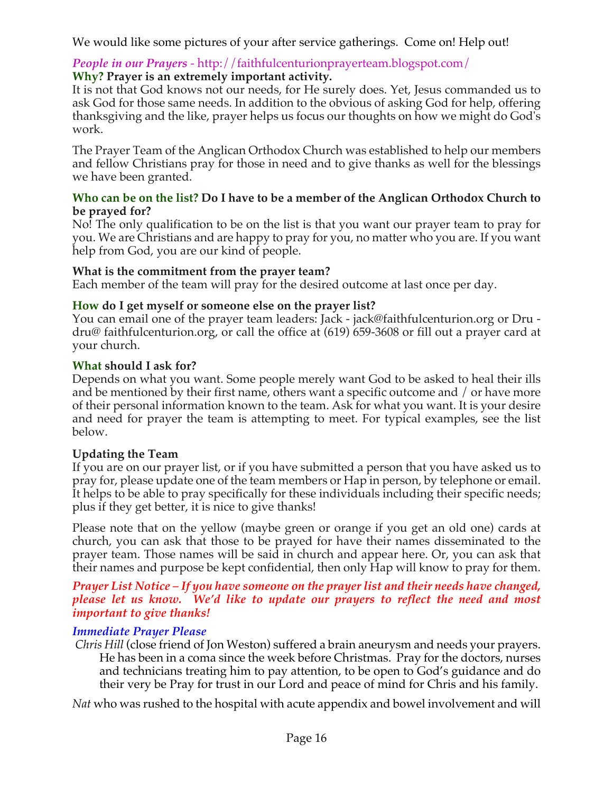We would like some pictures of your after service gatherings. Come on! Help out!

#### *People in our Prayers* - http://faithfulcenturionprayerteam.blogspot.com/ **Why? Prayer is an extremely important activity.**

It is not that God knows not our needs, for He surely does. Yet, Jesus commanded us to ask God for those same needs. In addition to the obvious of asking God for help, offering thanksgiving and the like, prayer helps us focus our thoughts on how we might do God's work.

The Prayer Team of the Anglican Orthodox Church was established to help our members and fellow Christians pray for those in need and to give thanks as well for the blessings we have been granted.

#### **Who can be on the list? Do I have to be a member of the Anglican Orthodox Church to be prayed for?**

No! The only qualification to be on the list is that you want our prayer team to pray for you. We are Christians and are happy to pray for you, no matter who you are. If you want help from God, you are our kind of people.

# **What is the commitment from the prayer team?**

Each member of the team will pray for the desired outcome at last once per day.

# **How do I get myself or someone else on the prayer list?**

You can email one of the prayer team leaders: Jack - jack@faithfulcenturion.org or Dru dru@ faithfulcenturion.org, or call the office at (619) 659-3608 or fill out a prayer card at your church.

# **What should I ask for?**

Depends on what you want. Some people merely want God to be asked to heal their ills and be mentioned by their first name, others want a specific outcome and / or have more of their personal information known to the team. Ask for what you want. It is your desire and need for prayer the team is attempting to meet. For typical examples, see the list below.

# **Updating the Team**

If you are on our prayer list, or if you have submitted a person that you have asked us to pray for, please update one of the team members or Hap in person, by telephone or email. It helps to be able to pray specifically for these individuals including their specific needs; plus if they get better, it is nice to give thanks!

Please note that on the yellow (maybe green or orange if you get an old one) cards at church, you can ask that those to be prayed for have their names disseminated to the prayer team. Those names will be said in church and appear here. Or, you can ask that their names and purpose be kept confidential, then only Hap will know to pray for them.

## *Prayer List Notice – If you have someone on the prayer list and their needs have changed, please let us know. We'd like to update our prayers to reflect the need and most important to give thanks!*

# *Immediate Prayer Please*

*Chris Hill* (close friend of Jon Weston) suffered a brain aneurysm and needs your prayers. He has been in a coma since the week before Christmas. Pray for the doctors, nurses and technicians treating him to pay attention, to be open to God's guidance and do their very be Pray for trust in our Lord and peace of mind for Chris and his family.

*Nat* who was rushed to the hospital with acute appendix and bowel involvement and will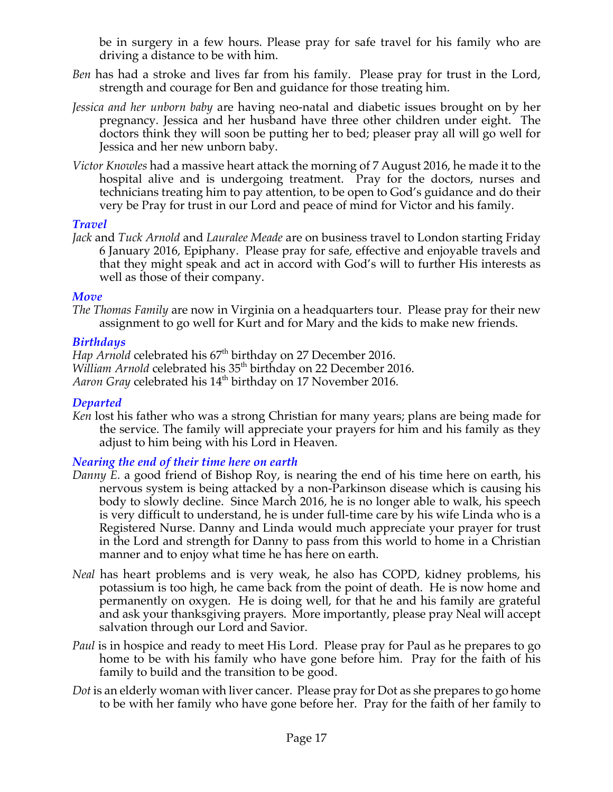be in surgery in a few hours. Please pray for safe travel for his family who are driving a distance to be with him.

- *Ben* has had a stroke and lives far from his family. Please pray for trust in the Lord, strength and courage for Ben and guidance for those treating him.
- *Jessica and her unborn baby* are having neo-natal and diabetic issues brought on by her pregnancy. Jessica and her husband have three other children under eight. The doctors think they will soon be putting her to bed; pleaser pray all will go well for Jessica and her new unborn baby.
- *Victor Knowles* had a massive heart attack the morning of 7 August 2016, he made it to the hospital alive and is undergoing treatment. Pray for the doctors, nurses and technicians treating him to pay attention, to be open to God's guidance and do their very be Pray for trust in our Lord and peace of mind for Victor and his family.

## *Travel*

*Jack* and *Tuck Arnold* and *Lauralee Meade* are on business travel to London starting Friday 6 January 2016, Epiphany. Please pray for safe, effective and enjoyable travels and that they might speak and act in accord with God's will to further His interests as well as those of their company.

# *Move*

*The Thomas Family* are now in Virginia on a headquarters tour. Please pray for their new assignment to go well for Kurt and for Mary and the kids to make new friends.

# *Birthdays*

*Hap Arnold* celebrated his 67<sup>th</sup> birthday on 27 December 2016. *William Arnold* celebrated his 35<sup>th</sup> birthday on 22 December 2016. Aaron *Gray* celebrated his 14<sup>th</sup> birthday on 17 November 2016.

# *Departed*

*Ken* lost his father who was a strong Christian for many years; plans are being made for the service. The family will appreciate your prayers for him and his family as they adjust to him being with his Lord in Heaven.

# *Nearing the end of their time here on earth*

- *Danny E.* a good friend of Bishop Roy, is nearing the end of his time here on earth, his nervous system is being attacked by a non-Parkinson disease which is causing his body to slowly decline. Since March 2016, he is no longer able to walk, his speech is very difficult to understand, he is under full-time care by his wife Linda who is a Registered Nurse. Danny and Linda would much appreciate your prayer for trust in the Lord and strength for Danny to pass from this world to home in a Christian manner and to enjoy what time he has here on earth.
- *Neal* has heart problems and is very weak, he also has COPD, kidney problems, his potassium is too high, he came back from the point of death. He is now home and permanently on oxygen. He is doing well, for that he and his family are grateful and ask your thanksgiving prayers. More importantly, please pray Neal will accept salvation through our Lord and Savior.
- *Paul* is in hospice and ready to meet His Lord. Please pray for Paul as he prepares to go home to be with his family who have gone before him. Pray for the faith of his family to build and the transition to be good.
- *Dot* is an elderly woman with liver cancer. Please pray for Dot as she prepares to go home to be with her family who have gone before her. Pray for the faith of her family to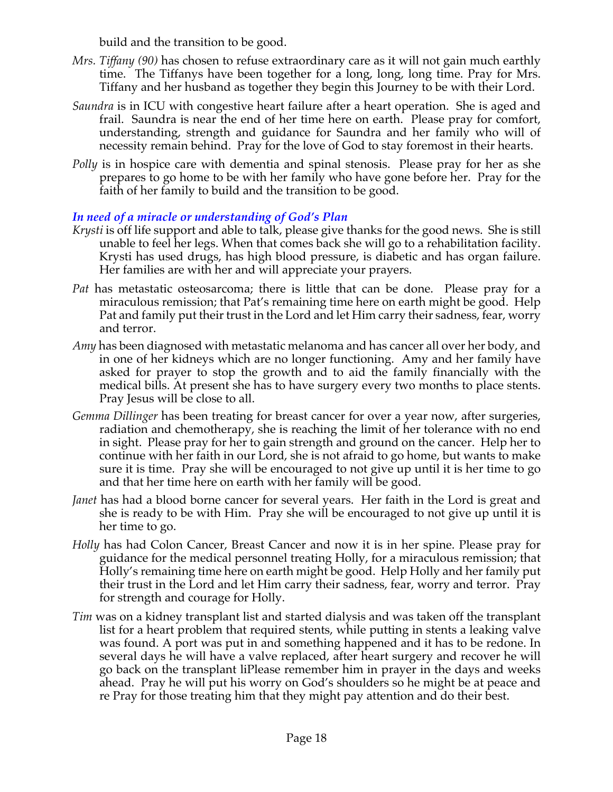build and the transition to be good.

- *Mrs. Tiffany (90)* has chosen to refuse extraordinary care as it will not gain much earthly time. The Tiffanys have been together for a long, long, long time. Pray for Mrs. Tiffany and her husband as together they begin this Journey to be with their Lord.
- *Saundra* is in ICU with congestive heart failure after a heart operation. She is aged and frail. Saundra is near the end of her time here on earth. Please pray for comfort, understanding, strength and guidance for Saundra and her family who will of necessity remain behind. Pray for the love of God to stay foremost in their hearts.
- *Polly* is in hospice care with dementia and spinal stenosis. Please pray for her as she prepares to go home to be with her family who have gone before her. Pray for the faith of her family to build and the transition to be good.

# *In need of a miracle or understanding of God's Plan*

- *Krysti* is off life support and able to talk, please give thanks for the good news. She is still unable to feel her legs. When that comes back she will go to a rehabilitation facility. Krysti has used drugs, has high blood pressure, is diabetic and has organ failure. Her families are with her and will appreciate your prayers.
- *Pat* has metastatic osteosarcoma; there is little that can be done. Please pray for a miraculous remission; that Pat's remaining time here on earth might be good. Help Pat and family put their trust in the Lord and let Him carry their sadness, fear, worry and terror.
- *Amy* has been diagnosed with metastatic melanoma and has cancer all over her body, and in one of her kidneys which are no longer functioning. Amy and her family have asked for prayer to stop the growth and to aid the family financially with the medical bills. At present she has to have surgery every two months to place stents. Pray Jesus will be close to all.
- *Gemma Dillinger* has been treating for breast cancer for over a year now, after surgeries, radiation and chemotherapy, she is reaching the limit of her tolerance with no end in sight. Please pray for her to gain strength and ground on the cancer. Help her to continue with her faith in our Lord, she is not afraid to go home, but wants to make sure it is time. Pray she will be encouraged to not give up until it is her time to go and that her time here on earth with her family will be good.
- *Janet* has had a blood borne cancer for several years. Her faith in the Lord is great and she is ready to be with Him. Pray she will be encouraged to not give up until it is her time to go.
- *Holly* has had Colon Cancer, Breast Cancer and now it is in her spine. Please pray for guidance for the medical personnel treating Holly, for a miraculous remission; that Holly's remaining time here on earth might be good. Help Holly and her family put their trust in the Lord and let Him carry their sadness, fear, worry and terror. Pray for strength and courage for Holly.
- *Tim* was on a kidney transplant list and started dialysis and was taken off the transplant list for a heart problem that required stents, while putting in stents a leaking valve was found. A port was put in and something happened and it has to be redone. In several days he will have a valve replaced, after heart surgery and recover he will go back on the transplant liPlease remember him in prayer in the days and weeks ahead. Pray he will put his worry on God's shoulders so he might be at peace and re Pray for those treating him that they might pay attention and do their best.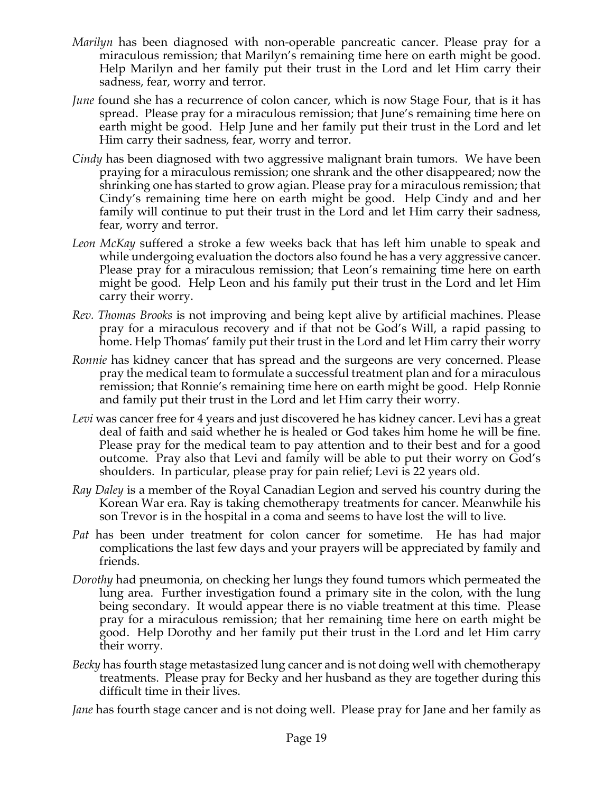- *Marilyn* has been diagnosed with non-operable pancreatic cancer. Please pray for a miraculous remission; that Marilyn's remaining time here on earth might be good. Help Marilyn and her family put their trust in the Lord and let Him carry their sadness, fear, worry and terror.
- *June* found she has a recurrence of colon cancer, which is now Stage Four, that is it has spread. Please pray for a miraculous remission; that June's remaining time here on earth might be good. Help June and her family put their trust in the Lord and let Him carry their sadness, fear, worry and terror.
- *Cindy* has been diagnosed with two aggressive malignant brain tumors. We have been praying for a miraculous remission; one shrank and the other disappeared; now the shrinking one has started to grow agian. Please pray for a miraculous remission; that Cindy's remaining time here on earth might be good. Help Cindy and and her family will continue to put their trust in the Lord and let Him carry their sadness, fear, worry and terror.
- *Leon McKay* suffered a stroke a few weeks back that has left him unable to speak and while undergoing evaluation the doctors also found he has a very aggressive cancer. Please pray for a miraculous remission; that Leon's remaining time here on earth might be good. Help Leon and his family put their trust in the Lord and let Him carry their worry.
- *Rev. Thomas Brooks* is not improving and being kept alive by artificial machines. Please pray for a miraculous recovery and if that not be God's Will, a rapid passing to home. Help Thomas' family put their trust in the Lord and let Him carry their worry
- *Ronnie* has kidney cancer that has spread and the surgeons are very concerned. Please pray the medical team to formulate a successful treatment plan and for a miraculous remission; that Ronnie's remaining time here on earth might be good. Help Ronnie and family put their trust in the Lord and let Him carry their worry.
- *Levi* was cancer free for 4 years and just discovered he has kidney cancer. Levi has a great deal of faith and said whether he is healed or God takes him home he will be fine. Please pray for the medical team to pay attention and to their best and for a good outcome. Pray also that Levi and family will be able to put their worry on God's shoulders. In particular, please pray for pain relief; Levi is 22 years old.
- *Ray Daley* is a member of the Royal Canadian Legion and served his country during the Korean War era. Ray is taking chemotherapy treatments for cancer. Meanwhile his son Trevor is in the hospital in a coma and seems to have lost the will to live.
- *Pat* has been under treatment for colon cancer for sometime. He has had major complications the last few days and your prayers will be appreciated by family and friends.
- *Dorothy* had pneumonia, on checking her lungs they found tumors which permeated the lung area. Further investigation found a primary site in the colon, with the lung being secondary. It would appear there is no viable treatment at this time. Please pray for a miraculous remission; that her remaining time here on earth might be good. Help Dorothy and her family put their trust in the Lord and let Him carry their worry.
- *Becky* has fourth stage metastasized lung cancer and is not doing well with chemotherapy treatments. Please pray for Becky and her husband as they are together during this difficult time in their lives.

*Jane* has fourth stage cancer and is not doing well. Please pray for Jane and her family as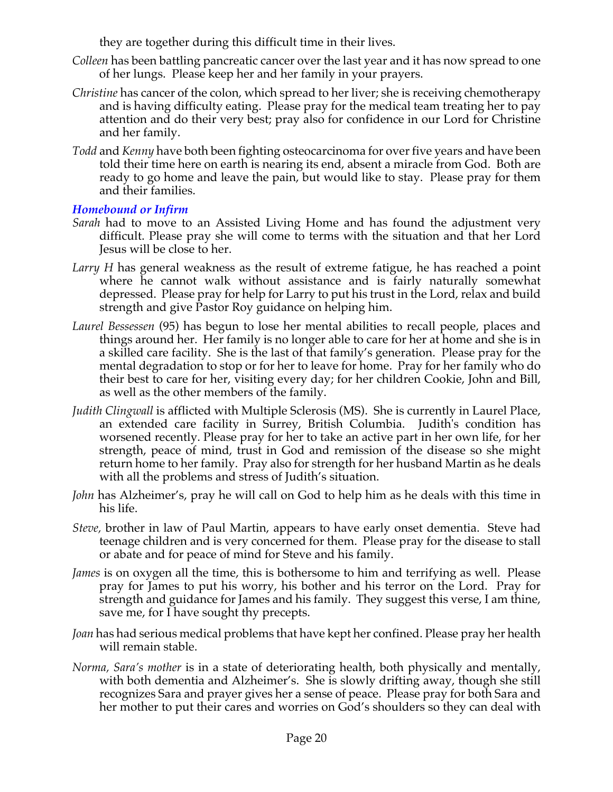they are together during this difficult time in their lives.

- *Colleen* has been battling pancreatic cancer over the last year and it has now spread to one of her lungs. Please keep her and her family in your prayers.
- *Christine* has cancer of the colon, which spread to her liver; she is receiving chemotherapy and is having difficulty eating. Please pray for the medical team treating her to pay attention and do their very best; pray also for confidence in our Lord for Christine and her family.
- *Todd* and *Kenny* have both been fighting osteocarcinoma for over five years and have been told their time here on earth is nearing its end, absent a miracle from God. Both are ready to go home and leave the pain, but would like to stay. Please pray for them and their families.

# *Homebound or Infirm*

- *Sarah* had to move to an Assisted Living Home and has found the adjustment very difficult. Please pray she will come to terms with the situation and that her Lord Jesus will be close to her.
- *Larry H* has general weakness as the result of extreme fatigue, he has reached a point where he cannot walk without assistance and is fairly naturally somewhat depressed. Please pray for help for Larry to put his trust in the Lord, relax and build strength and give Pastor Roy guidance on helping him.
- *Laurel Bessessen* (95) has begun to lose her mental abilities to recall people, places and things around her. Her family is no longer able to care for her at home and she is in a skilled care facility. She is the last of that family's generation. Please pray for the mental degradation to stop or for her to leave for home. Pray for her family who do their best to care for her, visiting every day; for her children Cookie, John and Bill, as well as the other members of the family.
- *Judith Clingwall* is afflicted with Multiple Sclerosis (MS). She is currently in Laurel Place, an extended care facility in Surrey, British Columbia. Judith's condition has worsened recently. Please pray for her to take an active part in her own life, for her strength, peace of mind, trust in God and remission of the disease so she might return home to her family. Pray also for strength for her husband Martin as he deals with all the problems and stress of Judith's situation.
- *John* has Alzheimer's, pray he will call on God to help him as he deals with this time in his life.
- *Steve,* brother in law of Paul Martin, appears to have early onset dementia. Steve had teenage children and is very concerned for them. Please pray for the disease to stall or abate and for peace of mind for Steve and his family.
- *James* is on oxygen all the time, this is bothersome to him and terrifying as well. Please pray for James to put his worry, his bother and his terror on the Lord. Pray for strength and guidance for James and his family. They suggest this verse, I am thine, save me, for I have sought thy precepts.
- *Joan* has had serious medical problems that have kept her confined. Please pray her health will remain stable.
- *Norma, Sara's mother* is in a state of deteriorating health, both physically and mentally, with both dementia and Alzheimer's. She is slowly drifting away, though she still recognizes Sara and prayer gives her a sense of peace. Please pray for both Sara and her mother to put their cares and worries on God's shoulders so they can deal with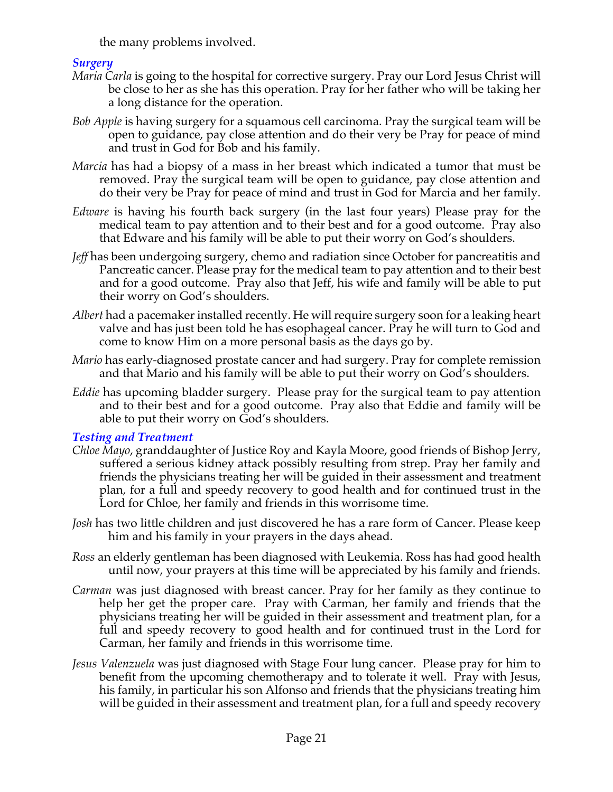the many problems involved.

# *Surgery*

- *Maria Carla* is going to the hospital for corrective surgery. Pray our Lord Jesus Christ will be close to her as she has this operation. Pray for her father who will be taking her a long distance for the operation.
- *Bob Apple* is having surgery for a squamous cell carcinoma. Pray the surgical team will be open to guidance, pay close attention and do their very be Pray for peace of mind and trust in God for Bob and his family.
- *Marcia* has had a biopsy of a mass in her breast which indicated a tumor that must be removed. Pray the surgical team will be open to guidance, pay close attention and do their very be Pray for peace of mind and trust in God for Marcia and her family.
- *Edware* is having his fourth back surgery (in the last four years) Please pray for the medical team to pay attention and to their best and for a good outcome. Pray also that Edware and his family will be able to put their worry on God's shoulders.
- *Jeff* has been undergoing surgery, chemo and radiation since October for pancreatitis and Pancreatic cancer. Please pray for the medical team to pay attention and to their best and for a good outcome. Pray also that Jeff, his wife and family will be able to put their worry on God's shoulders.
- *Albert* had a pacemaker installed recently. He will require surgery soon for a leaking heart valve and has just been told he has esophageal cancer. Pray he will turn to God and come to know Him on a more personal basis as the days go by.
- *Mario* has early-diagnosed prostate cancer and had surgery. Pray for complete remission and that Mario and his family will be able to put their worry on God's shoulders.
- *Eddie* has upcoming bladder surgery. Please pray for the surgical team to pay attention and to their best and for a good outcome. Pray also that Eddie and family will be able to put their worry on God's shoulders.

# *Testing and Treatment*

- *Chloe Mayo*, granddaughter of Justice Roy and Kayla Moore, good friends of Bishop Jerry, suffered a serious kidney attack possibly resulting from strep. Pray her family and friends the physicians treating her will be guided in their assessment and treatment plan, for a full and speedy recovery to good health and for continued trust in the Lord for Chloe, her family and friends in this worrisome time.
- *Josh* has two little children and just discovered he has a rare form of Cancer. Please keep him and his family in your prayers in the days ahead.
- *Ross* an elderly gentleman has been diagnosed with Leukemia. Ross has had good health until now, your prayers at this time will be appreciated by his family and friends.
- *Carman* was just diagnosed with breast cancer. Pray for her family as they continue to help her get the proper care. Pray with Carman, her family and friends that the physicians treating her will be guided in their assessment and treatment plan, for a full and speedy recovery to good health and for continued trust in the Lord for Carman, her family and friends in this worrisome time.
- *Jesus Valenzuela* was just diagnosed with Stage Four lung cancer. Please pray for him to benefit from the upcoming chemotherapy and to tolerate it well. Pray with Jesus, his family, in particular his son Alfonso and friends that the physicians treating him will be guided in their assessment and treatment plan, for a full and speedy recovery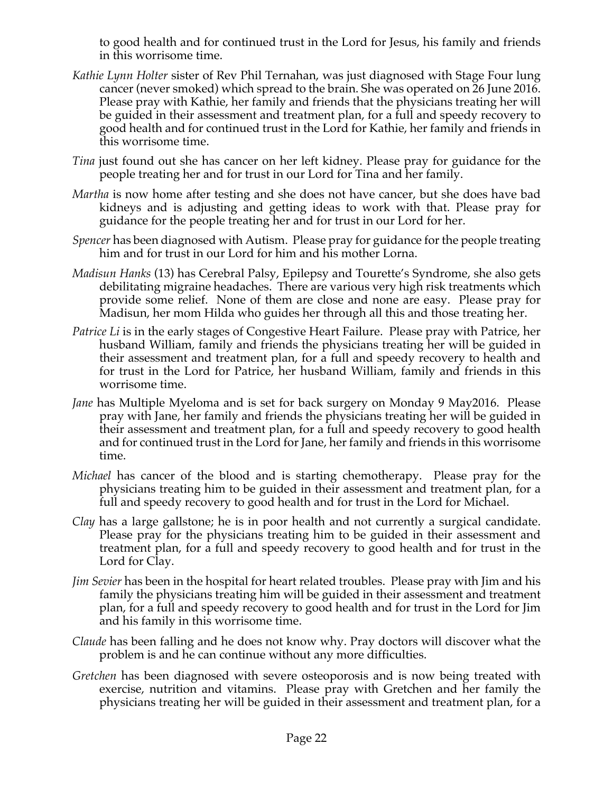to good health and for continued trust in the Lord for Jesus, his family and friends in this worrisome time.

- *Kathie Lynn Holter* sister of Rev Phil Ternahan, was just diagnosed with Stage Four lung cancer (never smoked) which spread to the brain. She was operated on 26 June 2016. Please pray with Kathie, her family and friends that the physicians treating her will be guided in their assessment and treatment plan, for a full and speedy recovery to good health and for continued trust in the Lord for Kathie, her family and friends in this worrisome time.
- *Tina* just found out she has cancer on her left kidney. Please pray for guidance for the people treating her and for trust in our Lord for Tina and her family.
- *Martha* is now home after testing and she does not have cancer, but she does have bad kidneys and is adjusting and getting ideas to work with that. Please pray for guidance for the people treating her and for trust in our Lord for her.
- *Spencer* has been diagnosed with Autism. Please pray for guidance for the people treating him and for trust in our Lord for him and his mother Lorna.
- *Madisun Hanks* (13) has Cerebral Palsy, Epilepsy and Tourette's Syndrome, she also gets debilitating migraine headaches. There are various very high risk treatments which provide some relief. None of them are close and none are easy. Please pray for Madisun, her mom Hilda who guides her through all this and those treating her.
- *Patrice Li* is in the early stages of Congestive Heart Failure. Please pray with Patrice, her husband William, family and friends the physicians treating her will be guided in their assessment and treatment plan, for a full and speedy recovery to health and for trust in the Lord for Patrice, her husband William, family and friends in this worrisome time.
- *Jane* has Multiple Myeloma and is set for back surgery on Monday 9 May2016. Please pray with Jane, her family and friends the physicians treating her will be guided in their assessment and treatment plan, for a full and speedy recovery to good health and for continued trust in the Lord for Jane, her family and friends in this worrisome time.
- *Michael* has cancer of the blood and is starting chemotherapy. Please pray for the physicians treating him to be guided in their assessment and treatment plan, for a full and speedy recovery to good health and for trust in the Lord for Michael.
- *Clay* has a large gallstone; he is in poor health and not currently a surgical candidate. Please pray for the physicians treating him to be guided in their assessment and treatment plan, for a full and speedy recovery to good health and for trust in the Lord for Clay.
- *Jim Sevier* has been in the hospital for heart related troubles. Please pray with Jim and his family the physicians treating him will be guided in their assessment and treatment plan, for a full and speedy recovery to good health and for trust in the Lord for Jim and his family in this worrisome time.
- *Claude* has been falling and he does not know why. Pray doctors will discover what the problem is and he can continue without any more difficulties.
- *Gretchen* has been diagnosed with severe osteoporosis and is now being treated with exercise, nutrition and vitamins. Please pray with Gretchen and her family the physicians treating her will be guided in their assessment and treatment plan, for a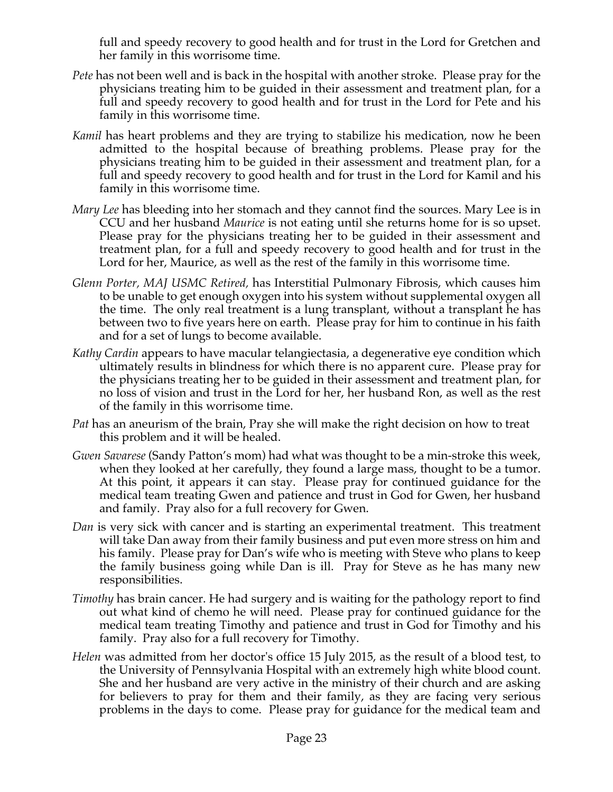full and speedy recovery to good health and for trust in the Lord for Gretchen and her family in this worrisome time.

- *Pete* has not been well and is back in the hospital with another stroke. Please pray for the physicians treating him to be guided in their assessment and treatment plan, for a full and speedy recovery to good health and for trust in the Lord for Pete and his family in this worrisome time.
- *Kamil* has heart problems and they are trying to stabilize his medication, now he been admitted to the hospital because of breathing problems. Please pray for the physicians treating him to be guided in their assessment and treatment plan, for a full and speedy recovery to good health and for trust in the Lord for Kamil and his family in this worrisome time.
- *Mary Lee* has bleeding into her stomach and they cannot find the sources. Mary Lee is in CCU and her husband *Maurice* is not eating until she returns home for is so upset. Please pray for the physicians treating her to be guided in their assessment and treatment plan, for a full and speedy recovery to good health and for trust in the Lord for her, Maurice, as well as the rest of the family in this worrisome time.
- *Glenn Porter, MAJ USMC Retired,* has Interstitial Pulmonary Fibrosis, which causes him to be unable to get enough oxygen into his system without supplemental oxygen all the time. The only real treatment is a lung transplant, without a transplant he has between two to five years here on earth. Please pray for him to continue in his faith and for a set of lungs to become available.
- *Kathy Cardin* appears to have macular telangiectasia, a degenerative eye condition which ultimately results in blindness for which there is no apparent cure. Please pray for the physicians treating her to be guided in their assessment and treatment plan, for no loss of vision and trust in the Lord for her, her husband Ron, as well as the rest of the family in this worrisome time.
- *Pat* has an aneurism of the brain, Pray she will make the right decision on how to treat this problem and it will be healed.
- *Gwen Savarese* (Sandy Patton's mom) had what was thought to be a min-stroke this week, when they looked at her carefully, they found a large mass, thought to be a tumor. At this point, it appears it can stay. Please pray for continued guidance for the medical team treating Gwen and patience and trust in God for Gwen, her husband and family. Pray also for a full recovery for Gwen.
- *Dan* is very sick with cancer and is starting an experimental treatment. This treatment will take Dan away from their family business and put even more stress on him and his family. Please pray for Dan's wife who is meeting with Steve who plans to keep the family business going while Dan is ill. Pray for Steve as he has many new responsibilities.
- *Timothy* has brain cancer. He had surgery and is waiting for the pathology report to find out what kind of chemo he will need. Please pray for continued guidance for the medical team treating Timothy and patience and trust in God for Timothy and his family. Pray also for a full recovery for Timothy.
- *Helen* was admitted from her doctor's office 15 July 2015, as the result of a blood test, to the University of Pennsylvania Hospital with an extremely high white blood count. She and her husband are very active in the ministry of their church and are asking for believers to pray for them and their family, as they are facing very serious problems in the days to come. Please pray for guidance for the medical team and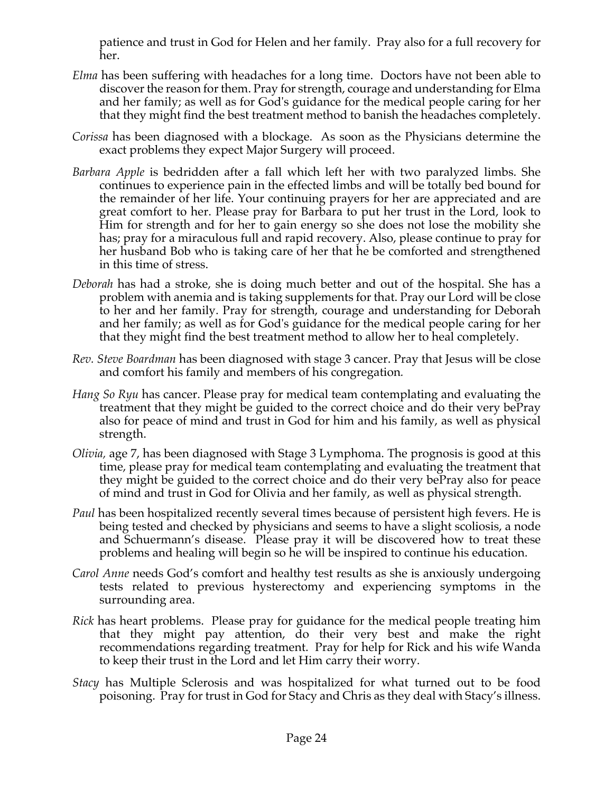patience and trust in God for Helen and her family. Pray also for a full recovery for her.

- *Elma* has been suffering with headaches for a long time. Doctors have not been able to discover the reason for them. Pray for strength, courage and understanding for Elma and her family; as well as for God's guidance for the medical people caring for her that they might find the best treatment method to banish the headaches completely.
- *Corissa* has been diagnosed with a blockage. As soon as the Physicians determine the exact problems they expect Major Surgery will proceed.
- *Barbara Apple* is bedridden after a fall which left her with two paralyzed limbs. She continues to experience pain in the effected limbs and will be totally bed bound for the remainder of her life. Your continuing prayers for her are appreciated and are great comfort to her. Please pray for Barbara to put her trust in the Lord, look to Him for strength and for her to gain energy so she does not lose the mobility she has; pray for a miraculous full and rapid recovery. Also, please continue to pray for her husband Bob who is taking care of her that he be comforted and strengthened in this time of stress.
- *Deborah* has had a stroke, she is doing much better and out of the hospital. She has a problem with anemia and is taking supplements for that. Pray our Lord will be close to her and her family. Pray for strength, courage and understanding for Deborah and her family; as well as for God's guidance for the medical people caring for her that they might find the best treatment method to allow her to heal completely.
- *Rev. Steve Boardman* has been diagnosed with stage 3 cancer. Pray that Jesus will be close and comfort his family and members of his congregation*.*
- *Hang So Ryu* has cancer. Please pray for medical team contemplating and evaluating the treatment that they might be guided to the correct choice and do their very bePray also for peace of mind and trust in God for him and his family, as well as physical strength.
- *Olivia,* age 7, has been diagnosed with Stage 3 Lymphoma. The prognosis is good at this time, please pray for medical team contemplating and evaluating the treatment that they might be guided to the correct choice and do their very bePray also for peace of mind and trust in God for Olivia and her family, as well as physical strength.
- *Paul* has been hospitalized recently several times because of persistent high fevers. He is being tested and checked by physicians and seems to have a slight scoliosis, a node and Schuermann's disease. Please pray it will be discovered how to treat these problems and healing will begin so he will be inspired to continue his education.
- *Carol Anne* needs God's comfort and healthy test results as she is anxiously undergoing tests related to previous hysterectomy and experiencing symptoms in the surrounding area.
- *Rick* has heart problems. Please pray for guidance for the medical people treating him that they might pay attention, do their very best and make the right recommendations regarding treatment. Pray for help for Rick and his wife Wanda to keep their trust in the Lord and let Him carry their worry.
- *Stacy* has Multiple Sclerosis and was hospitalized for what turned out to be food poisoning. Pray for trust in God for Stacy and Chris as they deal with Stacy's illness.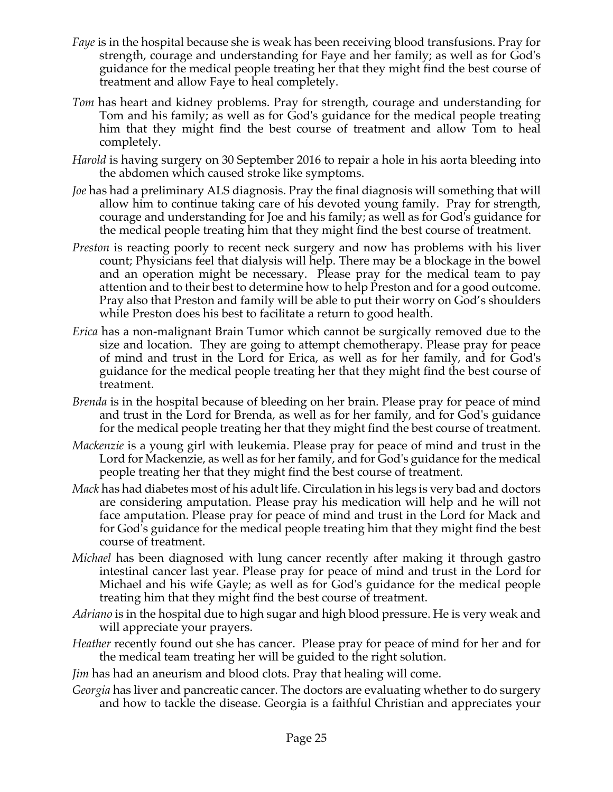- *Faye* is in the hospital because she is weak has been receiving blood transfusions. Pray for strength, courage and understanding for Faye and her family; as well as for God's guidance for the medical people treating her that they might find the best course of treatment and allow Faye to heal completely.
- *Tom* has heart and kidney problems. Pray for strength, courage and understanding for Tom and his family; as well as for God's guidance for the medical people treating him that they might find the best course of treatment and allow Tom to heal completely.
- *Harold* is having surgery on 30 September 2016 to repair a hole in his aorta bleeding into the abdomen which caused stroke like symptoms.
- *Joe* has had a preliminary ALS diagnosis. Pray the final diagnosis will something that will allow him to continue taking care of his devoted young family. Pray for strength, courage and understanding for Joe and his family; as well as for God's guidance for the medical people treating him that they might find the best course of treatment.
- *Preston* is reacting poorly to recent neck surgery and now has problems with his liver count; Physicians feel that dialysis will help. There may be a blockage in the bowel and an operation might be necessary. Please pray for the medical team to pay attention and to their best to determine how to help Preston and for a good outcome. Pray also that Preston and family will be able to put their worry on God's shoulders while Preston does his best to facilitate a return to good health.
- *Erica* has a non-malignant Brain Tumor which cannot be surgically removed due to the size and location. They are going to attempt chemotherapy. Please pray for peace of mind and trust in the Lord for Erica, as well as for her family, and for God's guidance for the medical people treating her that they might find the best course of treatment.
- *Brenda* is in the hospital because of bleeding on her brain. Please pray for peace of mind and trust in the Lord for Brenda, as well as for her family, and for God's guidance for the medical people treating her that they might find the best course of treatment.
- *Mackenzie* is a young girl with leukemia. Please pray for peace of mind and trust in the Lord for Mackenzie, as well as for her family, and for God's guidance for the medical people treating her that they might find the best course of treatment.
- *Mack* has had diabetes most of his adult life. Circulation in his legs is very bad and doctors are considering amputation. Please pray his medication will help and he will not face amputation. Please pray for peace of mind and trust in the Lord for Mack and for God's guidance for the medical people treating him that they might find the best course of treatment.
- *Michael* has been diagnosed with lung cancer recently after making it through gastro intestinal cancer last year. Please pray for peace of mind and trust in the Lord for Michael and his wife Gayle; as well as for God's guidance for the medical people treating him that they might find the best course of treatment.
- *Adriano* is in the hospital due to high sugar and high blood pressure. He is very weak and will appreciate your prayers.
- *Heather* recently found out she has cancer. Please pray for peace of mind for her and for the medical team treating her will be guided to the right solution.
- *Jim* has had an aneurism and blood clots. Pray that healing will come.
- *Georgia* has liver and pancreatic cancer. The doctors are evaluating whether to do surgery and how to tackle the disease. Georgia is a faithful Christian and appreciates your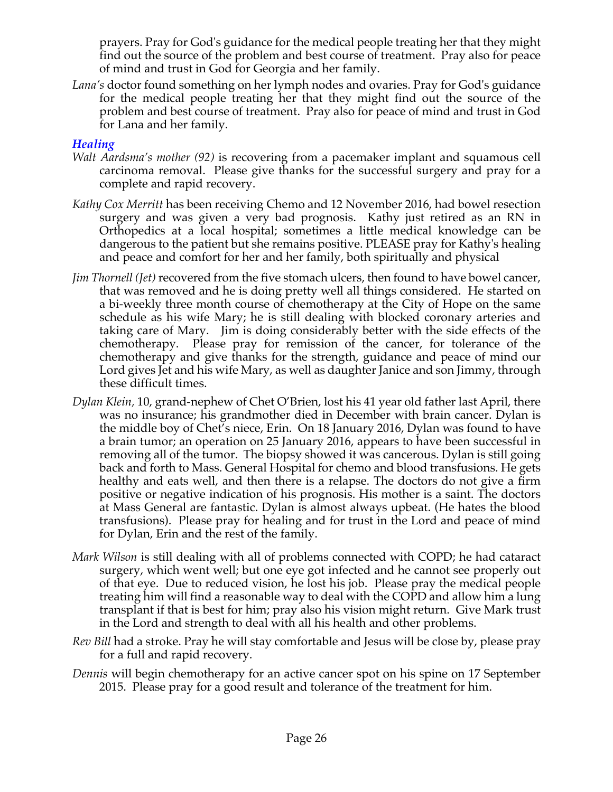prayers. Pray for God's guidance for the medical people treating her that they might find out the source of the problem and best course of treatment. Pray also for peace of mind and trust in God for Georgia and her family.

*Lana's* doctor found something on her lymph nodes and ovaries. Pray for God's guidance for the medical people treating her that they might find out the source of the problem and best course of treatment. Pray also for peace of mind and trust in God for Lana and her family.

# *Healing*

- *Walt Aardsma's mother (92)* is recovering from a pacemaker implant and squamous cell carcinoma removal. Please give thanks for the successful surgery and pray for a complete and rapid recovery.
- *Kathy Cox Merritt* has been receiving Chemo and 12 November 2016, had bowel resection surgery and was given a very bad prognosis. Kathy just retired as an RN in Orthopedics at a local hospital; sometimes a little medical knowledge can be dangerous to the patient but she remains positive. PLEASE pray for Kathy's healing and peace and comfort for her and her family, both spiritually and physical
- *Jim Thornell (Jet)* recovered from the five stomach ulcers, then found to have bowel cancer, that was removed and he is doing pretty well all things considered. He started on a bi-weekly three month course of chemotherapy at the City of Hope on the same schedule as his wife Mary; he is still dealing with blocked coronary arteries and taking care of Mary. Jim is doing considerably better with the side effects of the chemotherapy. Please pray for remission of the cancer, for tolerance of the chemotherapy and give thanks for the strength, guidance and peace of mind our Lord gives Jet and his wife Mary, as well as daughter Janice and son Jimmy, through these difficult times.
- *Dylan Klein,* 10, grand-nephew of Chet O'Brien, lost his 41 year old father last April, there was no insurance; his grandmother died in December with brain cancer. Dylan is the middle boy of Chet's niece, Erin. On 18 January 2016, Dylan was found to have a brain tumor; an operation on 25 January 2016, appears to have been successful in removing all of the tumor. The biopsy showed it was cancerous. Dylan is still going back and forth to Mass. General Hospital for chemo and blood transfusions. He gets healthy and eats well, and then there is a relapse. The doctors do not give a firm positive or negative indication of his prognosis. His mother is a saint. The doctors at Mass General are fantastic. Dylan is almost always upbeat. (He hates the blood transfusions). Please pray for healing and for trust in the Lord and peace of mind for Dylan, Erin and the rest of the family.
- *Mark Wilson* is still dealing with all of problems connected with COPD; he had cataract surgery, which went well; but one eye got infected and he cannot see properly out of that eye. Due to reduced vision, he lost his job. Please pray the medical people treating him will find a reasonable way to deal with the COPD and allow him a lung transplant if that is best for him; pray also his vision might return. Give Mark trust in the Lord and strength to deal with all his health and other problems.
- *Rev Bill* had a stroke. Pray he will stay comfortable and Jesus will be close by, please pray for a full and rapid recovery.
- *Dennis* will begin chemotherapy for an active cancer spot on his spine on 17 September 2015. Please pray for a good result and tolerance of the treatment for him.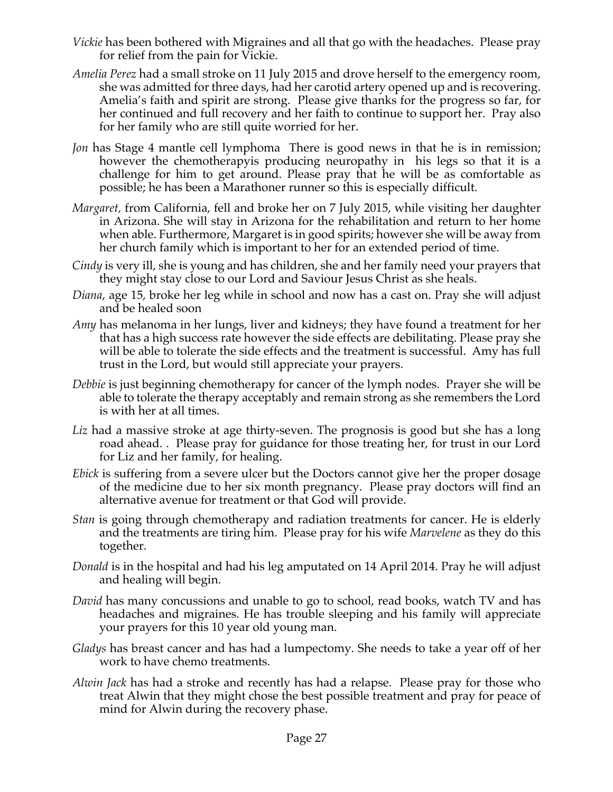- *Vickie* has been bothered with Migraines and all that go with the headaches. Please pray for relief from the pain for Vickie.
- *Amelia Perez* had a small stroke on 11 July 2015 and drove herself to the emergency room, she was admitted for three days, had her carotid artery opened up and is recovering. Amelia's faith and spirit are strong. Please give thanks for the progress so far, for her continued and full recovery and her faith to continue to support her. Pray also for her family who are still quite worried for her.
- *Jon* has Stage 4 mantle cell lymphoma There is good news in that he is in remission; however the chemotherapyis producing neuropathy in his legs so that it is a challenge for him to get around. Please pray that he will be as comfortable as possible; he has been a Marathoner runner so this is especially difficult.
- *Margaret,* from California, fell and broke her on 7 July 2015, while visiting her daughter in Arizona. She will stay in Arizona for the rehabilitation and return to her home when able. Furthermore, Margaret is in good spirits; however she will be away from her church family which is important to her for an extended period of time.
- *Cindy* is very ill, she is young and has children, she and her family need your prayers that they might stay close to our Lord and Saviour Jesus Christ as she heals.
- *Diana*, age 15, broke her leg while in school and now has a cast on. Pray she will adjust and be healed soon
- *Amy* has melanoma in her lungs, liver and kidneys; they have found a treatment for her that has a high success rate however the side effects are debilitating. Please pray she will be able to tolerate the side effects and the treatment is successful. Amy has full trust in the Lord, but would still appreciate your prayers.
- *Debbie* is just beginning chemotherapy for cancer of the lymph nodes. Prayer she will be able to tolerate the therapy acceptably and remain strong as she remembers the Lord is with her at all times.
- Liz had a massive stroke at age thirty-seven. The prognosis is good but she has a long road ahead. . Please pray for guidance for those treating her, for trust in our Lord for Liz and her family, for healing.
- *Ebick* is suffering from a severe ulcer but the Doctors cannot give her the proper dosage of the medicine due to her six month pregnancy. Please pray doctors will find an alternative avenue for treatment or that God will provide.
- *Stan* is going through chemotherapy and radiation treatments for cancer. He is elderly and the treatments are tiring him. Please pray for his wife *Marvelene* as they do this together.
- *Donald* is in the hospital and had his leg amputated on 14 April 2014. Pray he will adjust and healing will begin.
- *David* has many concussions and unable to go to school, read books, watch TV and has headaches and migraines. He has trouble sleeping and his family will appreciate your prayers for this 10 year old young man.
- *Gladys* has breast cancer and has had a lumpectomy. She needs to take a year off of her work to have chemo treatments.
- *Alwin Jack* has had a stroke and recently has had a relapse. Please pray for those who treat Alwin that they might chose the best possible treatment and pray for peace of mind for Alwin during the recovery phase.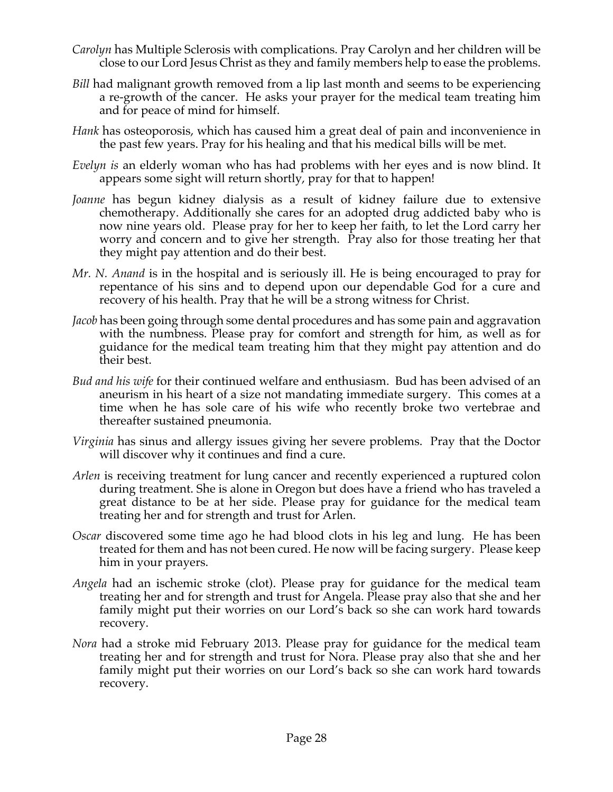- *Carolyn* has Multiple Sclerosis with complications. Pray Carolyn and her children will be close to our Lord Jesus Christ as they and family members help to ease the problems.
- *Bill* had malignant growth removed from a lip last month and seems to be experiencing a re-growth of the cancer. He asks your prayer for the medical team treating him and for peace of mind for himself.
- *Hank* has osteoporosis, which has caused him a great deal of pain and inconvenience in the past few years. Pray for his healing and that his medical bills will be met.
- *Evelyn is* an elderly woman who has had problems with her eyes and is now blind. It appears some sight will return shortly, pray for that to happen!
- *Joanne* has begun kidney dialysis as a result of kidney failure due to extensive chemotherapy. Additionally she cares for an adopted drug addicted baby who is now nine years old. Please pray for her to keep her faith, to let the Lord carry her worry and concern and to give her strength. Pray also for those treating her that they might pay attention and do their best.
- *Mr. N. Anand* is in the hospital and is seriously ill. He is being encouraged to pray for repentance of his sins and to depend upon our dependable God for a cure and recovery of his health. Pray that he will be a strong witness for Christ.
- *Jacob* has been going through some dental procedures and has some pain and aggravation with the numbness. Please pray for comfort and strength for him, as well as for guidance for the medical team treating him that they might pay attention and do their best.
- *Bud and his wife* for their continued welfare and enthusiasm. Bud has been advised of an aneurism in his heart of a size not mandating immediate surgery. This comes at a time when he has sole care of his wife who recently broke two vertebrae and thereafter sustained pneumonia.
- *Virginia* has sinus and allergy issues giving her severe problems. Pray that the Doctor will discover why it continues and find a cure.
- *Arlen* is receiving treatment for lung cancer and recently experienced a ruptured colon during treatment. She is alone in Oregon but does have a friend who has traveled a great distance to be at her side. Please pray for guidance for the medical team treating her and for strength and trust for Arlen.
- *Oscar* discovered some time ago he had blood clots in his leg and lung. He has been treated for them and has not been cured. He now will be facing surgery. Please keep him in your prayers.
- *Angela* had an ischemic stroke (clot). Please pray for guidance for the medical team treating her and for strength and trust for Angela. Please pray also that she and her family might put their worries on our Lord's back so she can work hard towards recovery.
- *Nora* had a stroke mid February 2013. Please pray for guidance for the medical team treating her and for strength and trust for Nora. Please pray also that she and her family might put their worries on our Lord's back so she can work hard towards recovery.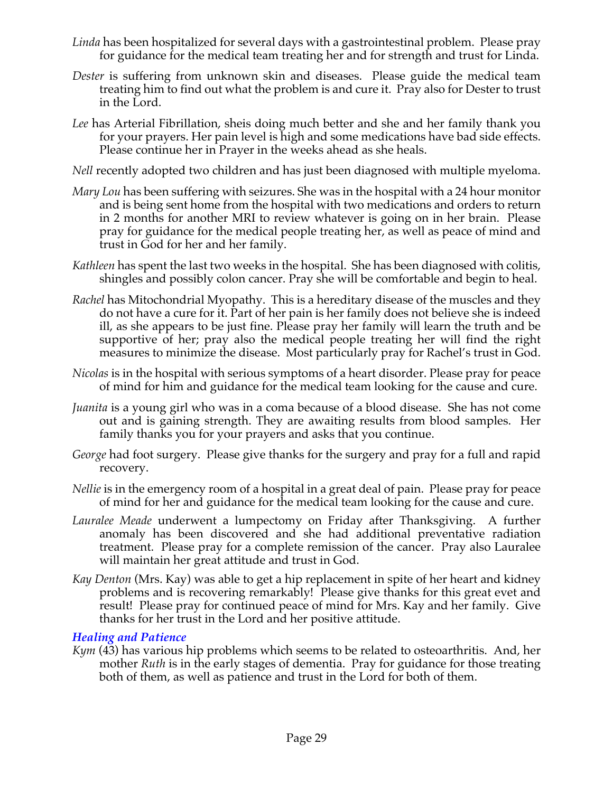- *Linda* has been hospitalized for several days with a gastrointestinal problem. Please pray for guidance for the medical team treating her and for strength and trust for Linda.
- *Dester* is suffering from unknown skin and diseases. Please guide the medical team treating him to find out what the problem is and cure it. Pray also for Dester to trust in the Lord.
- *Lee* has Arterial Fibrillation, sheis doing much better and she and her family thank you for your prayers. Her pain level is high and some medications have bad side effects. Please continue her in Prayer in the weeks ahead as she heals.
- *Nell* recently adopted two children and has just been diagnosed with multiple myeloma.
- *Mary Lou* has been suffering with seizures. She was in the hospital with a 24 hour monitor and is being sent home from the hospital with two medications and orders to return in 2 months for another MRI to review whatever is going on in her brain. Please pray for guidance for the medical people treating her, as well as peace of mind and trust in God for her and her family.
- *Kathleen* has spent the last two weeks in the hospital. She has been diagnosed with colitis, shingles and possibly colon cancer. Pray she will be comfortable and begin to heal.
- *Rachel* has Mitochondrial Myopathy. This is a hereditary disease of the muscles and they do not have a cure for it. Part of her pain is her family does not believe she is indeed ill, as she appears to be just fine. Please pray her family will learn the truth and be supportive of her; pray also the medical people treating her will find the right measures to minimize the disease. Most particularly pray for Rachel's trust in God.
- *Nicolas* is in the hospital with serious symptoms of a heart disorder. Please pray for peace of mind for him and guidance for the medical team looking for the cause and cure.
- *Juanita* is a young girl who was in a coma because of a blood disease. She has not come out and is gaining strength. They are awaiting results from blood samples. Her family thanks you for your prayers and asks that you continue.
- *George* had foot surgery. Please give thanks for the surgery and pray for a full and rapid recovery.
- *Nellie* is in the emergency room of a hospital in a great deal of pain. Please pray for peace of mind for her and guidance for the medical team looking for the cause and cure.
- *Lauralee Meade* underwent a lumpectomy on Friday after Thanksgiving. A further anomaly has been discovered and she had additional preventative radiation treatment. Please pray for a complete remission of the cancer. Pray also Lauralee will maintain her great attitude and trust in God.
- *Kay Denton* (Mrs. Kay) was able to get a hip replacement in spite of her heart and kidney problems and is recovering remarkably! Please give thanks for this great evet and result! Please pray for continued peace of mind for Mrs. Kay and her family. Give thanks for her trust in the Lord and her positive attitude.

#### *Healing and Patience*

*Kym* (43) has various hip problems which seems to be related to osteoarthritis. And, her mother *Ruth* is in the early stages of dementia. Pray for guidance for those treating both of them, as well as patience and trust in the Lord for both of them.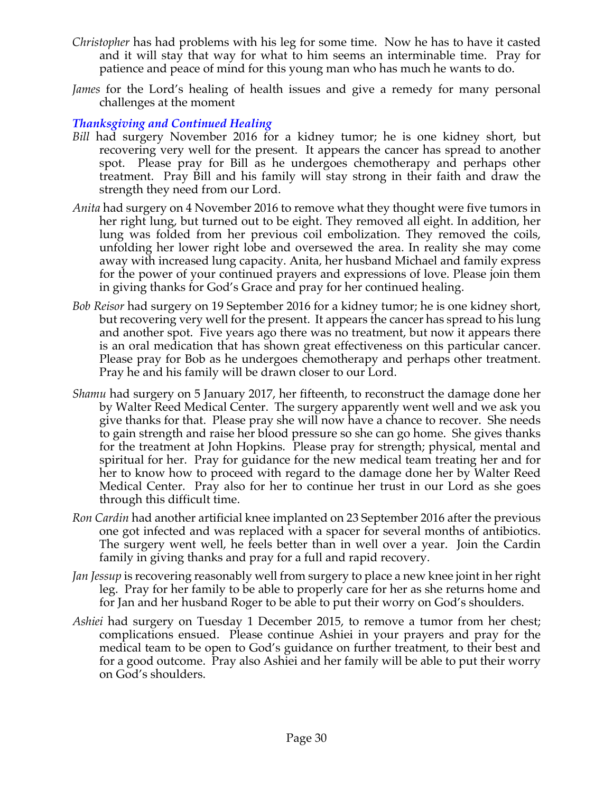- *Christopher* has had problems with his leg for some time. Now he has to have it casted and it will stay that way for what to him seems an interminable time. Pray for patience and peace of mind for this young man who has much he wants to do.
- *James* for the Lord's healing of health issues and give a remedy for many personal challenges at the moment

# *Thanksgiving and Continued Healing*

- *Bill* had surgery November 2016 for a kidney tumor; he is one kidney short, but recovering very well for the present. It appears the cancer has spread to another spot. Please pray for Bill as he undergoes chemotherapy and perhaps other treatment. Pray Bill and his family will stay strong in their faith and draw the strength they need from our Lord.
- *Anita* had surgery on 4 November 2016 to remove what they thought were five tumors in her right lung, but turned out to be eight. They removed all eight. In addition, her lung was folded from her previous coil embolization. They removed the coils, unfolding her lower right lobe and oversewed the area. In reality she may come away with increased lung capacity. Anita, her husband Michael and family express for the power of your continued prayers and expressions of love. Please join them in giving thanks for God's Grace and pray for her continued healing.
- *Bob Reisor* had surgery on 19 September 2016 for a kidney tumor; he is one kidney short, but recovering very well for the present. It appears the cancer has spread to his lung and another spot. Five years ago there was no treatment, but now it appears there is an oral medication that has shown great effectiveness on this particular cancer. Please pray for Bob as he undergoes chemotherapy and perhaps other treatment. Pray he and his family will be drawn closer to our Lord.
- *Shamu* had surgery on 5 January 2017, her fifteenth, to reconstruct the damage done her by Walter Reed Medical Center. The surgery apparently went well and we ask you give thanks for that. Please pray she will now have a chance to recover. She needs to gain strength and raise her blood pressure so she can go home. She gives thanks for the treatment at John Hopkins. Please pray for strength; physical, mental and spiritual for her. Pray for guidance for the new medical team treating her and for her to know how to proceed with regard to the damage done her by Walter Reed Medical Center. Pray also for her to continue her trust in our Lord as she goes through this difficult time.
- *Ron Cardin* had another artificial knee implanted on 23 September 2016 after the previous one got infected and was replaced with a spacer for several months of antibiotics. The surgery went well, he feels better than in well over a year. Join the Cardin family in giving thanks and pray for a full and rapid recovery.
- *Jan Jessup* is recovering reasonably well from surgery to place a new knee joint in her right leg. Pray for her family to be able to properly care for her as she returns home and for Jan and her husband Roger to be able to put their worry on God's shoulders.
- *Ashiei* had surgery on Tuesday 1 December 2015, to remove a tumor from her chest; complications ensued. Please continue Ashiei in your prayers and pray for the medical team to be open to God's guidance on further treatment, to their best and for a good outcome. Pray also Ashiei and her family will be able to put their worry on God's shoulders.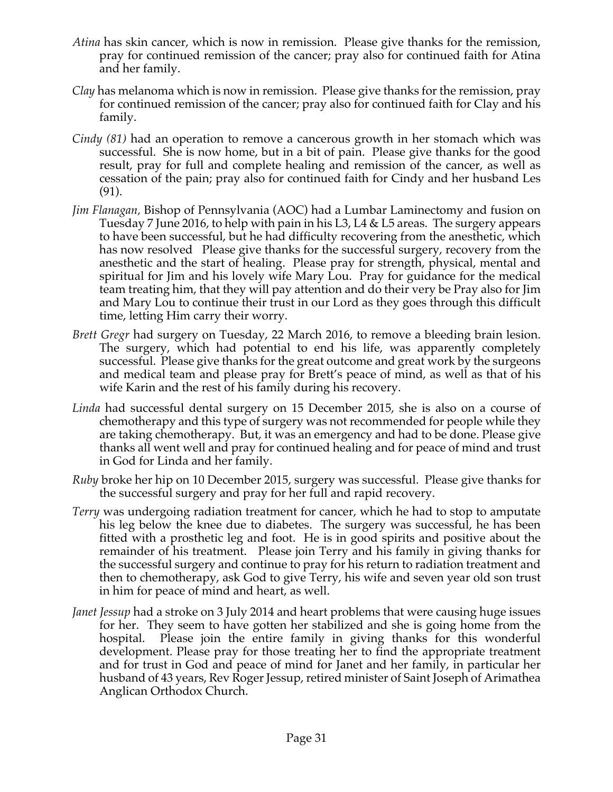- *Atina* has skin cancer, which is now in remission. Please give thanks for the remission, pray for continued remission of the cancer; pray also for continued faith for Atina and her family.
- *Clay* has melanoma which is now in remission. Please give thanks for the remission, pray for continued remission of the cancer; pray also for continued faith for Clay and his family.
- *Cindy (81)* had an operation to remove a cancerous growth in her stomach which was successful. She is now home, but in a bit of pain. Please give thanks for the good result, pray for full and complete healing and remission of the cancer, as well as cessation of the pain; pray also for continued faith for Cindy and her husband Les (91).
- *Jim Flanagan,* Bishop of Pennsylvania (AOC) had a Lumbar Laminectomy and fusion on Tuesday 7 June 2016, to help with pain in his L3, L4 & L5 areas. The surgery appears to have been successful, but he had difficulty recovering from the anesthetic, which has now resolved Please give thanks for the successful surgery, recovery from the anesthetic and the start of healing. Please pray for strength, physical, mental and spiritual for Jim and his lovely wife Mary Lou. Pray for guidance for the medical team treating him, that they will pay attention and do their very be Pray also for Jim and Mary Lou to continue their trust in our Lord as they goes through this difficult time, letting Him carry their worry.
- *Brett Gregr* had surgery on Tuesday, 22 March 2016, to remove a bleeding brain lesion. The surgery, which had potential to end his life, was apparently completely successful. Please give thanks for the great outcome and great work by the surgeons and medical team and please pray for Brett's peace of mind, as well as that of his wife Karin and the rest of his family during his recovery.
- *Linda* had successful dental surgery on 15 December 2015, she is also on a course of chemotherapy and this type of surgery was not recommended for people while they are taking chemotherapy. But, it was an emergency and had to be done. Please give thanks all went well and pray for continued healing and for peace of mind and trust in God for Linda and her family.
- *Ruby* broke her hip on 10 December 2015, surgery was successful. Please give thanks for the successful surgery and pray for her full and rapid recovery.
- *Terry* was undergoing radiation treatment for cancer, which he had to stop to amputate his leg below the knee due to diabetes. The surgery was successful, he has been fitted with a prosthetic leg and foot. He is in good spirits and positive about the remainder of his treatment. Please join Terry and his family in giving thanks for the successful surgery and continue to pray for his return to radiation treatment and then to chemotherapy, ask God to give Terry, his wife and seven year old son trust in him for peace of mind and heart, as well.
- *Janet Jessup* had a stroke on 3 July 2014 and heart problems that were causing huge issues for her. They seem to have gotten her stabilized and she is going home from the hospital. Please join the entire family in giving thanks for this wonderful development. Please pray for those treating her to find the appropriate treatment and for trust in God and peace of mind for Janet and her family, in particular her husband of 43 years, Rev Roger Jessup, retired minister of Saint Joseph of Arimathea Anglican Orthodox Church.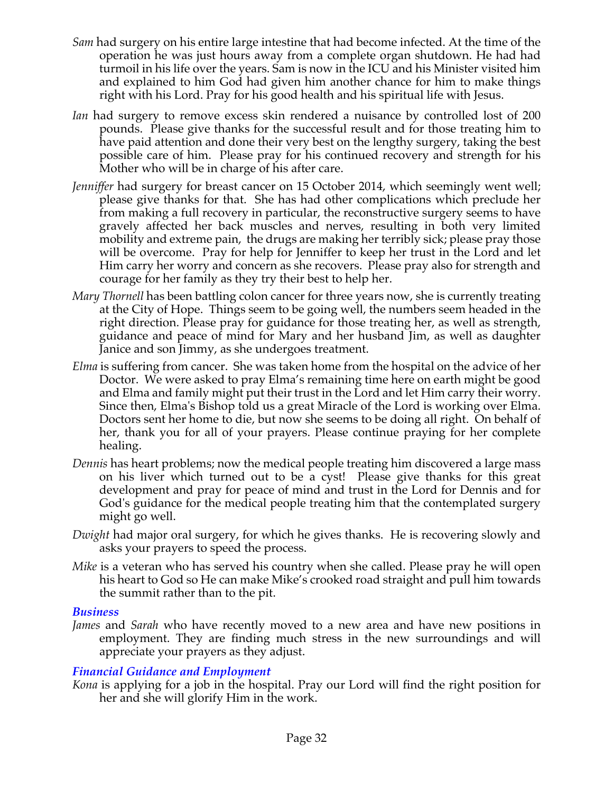- *Sam* had surgery on his entire large intestine that had become infected. At the time of the operation he was just hours away from a complete organ shutdown. He had had turmoil in his life over the years. Sam is now in the ICU and his Minister visited him and explained to him God had given him another chance for him to make things right with his Lord. Pray for his good health and his spiritual life with Jesus.
- *Ian* had surgery to remove excess skin rendered a nuisance by controlled lost of 200 pounds. Please give thanks for the successful result and for those treating him to have paid attention and done their very best on the lengthy surgery, taking the best possible care of him. Please pray for his continued recovery and strength for his Mother who will be in charge of his after care.
- *Jenniffer* had surgery for breast cancer on 15 October 2014, which seemingly went well; please give thanks for that. She has had other complications which preclude her from making a full recovery in particular, the reconstructive surgery seems to have gravely affected her back muscles and nerves, resulting in both very limited mobility and extreme pain, the drugs are making her terribly sick; please pray those will be overcome. Pray for help for Jenniffer to keep her trust in the Lord and let Him carry her worry and concern as she recovers. Please pray also for strength and courage for her family as they try their best to help her.
- *Mary Thornell* has been battling colon cancer for three years now, she is currently treating at the City of Hope. Things seem to be going well, the numbers seem headed in the right direction. Please pray for guidance for those treating her, as well as strength, guidance and peace of mind for Mary and her husband Jim, as well as daughter Janice and son Jimmy, as she undergoes treatment.
- *Elma* is suffering from cancer. She was taken home from the hospital on the advice of her Doctor. We were asked to pray Elma's remaining time here on earth might be good and Elma and family might put their trust in the Lord and let Him carry their worry. Since then, Elma's Bishop told us a great Miracle of the Lord is working over Elma. Doctors sent her home to die, but now she seems to be doing all right. On behalf of her, thank you for all of your prayers. Please continue praying for her complete healing.
- *Dennis* has heart problems; now the medical people treating him discovered a large mass on his liver which turned out to be a cyst! Please give thanks for this great development and pray for peace of mind and trust in the Lord for Dennis and for God's guidance for the medical people treating him that the contemplated surgery might go well.
- *Dwight* had major oral surgery, for which he gives thanks. He is recovering slowly and asks your prayers to speed the process.
- *Mike* is a veteran who has served his country when she called. Please pray he will open his heart to God so He can make Mike's crooked road straight and pull him towards the summit rather than to the pit.

#### *Business*

*James* and *Sarah* who have recently moved to a new area and have new positions in employment. They are finding much stress in the new surroundings and will appreciate your prayers as they adjust.

# *Financial Guidance and Employment*

*Kona* is applying for a job in the hospital. Pray our Lord will find the right position for her and she will glorify Him in the work.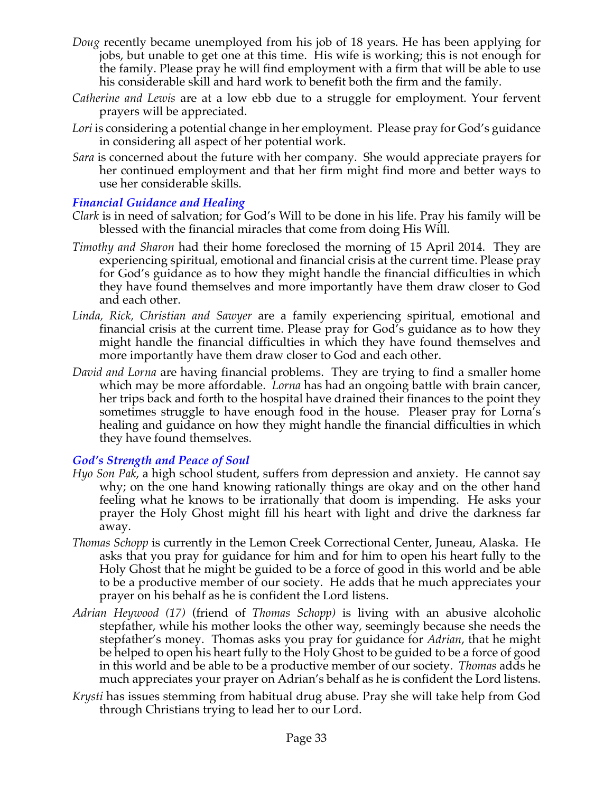- *Doug* recently became unemployed from his job of 18 years. He has been applying for jobs, but unable to get one at this time. His wife is working; this is not enough for the family. Please pray he will find employment with a firm that will be able to use his considerable skill and hard work to benefit both the firm and the family.
- *Catherine and Lewis* are at a low ebb due to a struggle for employment. Your fervent prayers will be appreciated.
- *Lori* is considering a potential change in her employment. Please pray for God's guidance in considering all aspect of her potential work.
- *Sara* is concerned about the future with her company. She would appreciate prayers for her continued employment and that her firm might find more and better ways to use her considerable skills.

## *Financial Guidance and Healing*

- *Clark* is in need of salvation; for God's Will to be done in his life. Pray his family will be blessed with the financial miracles that come from doing His Will.
- *Timothy and Sharon* had their home foreclosed the morning of 15 April 2014. They are experiencing spiritual, emotional and financial crisis at the current time. Please pray for God's guidance as to how they might handle the financial difficulties in which they have found themselves and more importantly have them draw closer to God and each other.
- *Linda, Rick, Christian and Sawyer* are a family experiencing spiritual, emotional and financial crisis at the current time. Please pray for God's guidance as to how they might handle the financial difficulties in which they have found themselves and more importantly have them draw closer to God and each other.
- *David and Lorna* are having financial problems. They are trying to find a smaller home which may be more affordable. *Lorna* has had an ongoing battle with brain cancer, her trips back and forth to the hospital have drained their finances to the point they sometimes struggle to have enough food in the house. Pleaser pray for Lorna's healing and guidance on how they might handle the financial difficulties in which they have found themselves.

# *God's Strength and Peace of Soul*

- *Hyo Son Pak*, a high school student, suffers from depression and anxiety. He cannot say why; on the one hand knowing rationally things are okay and on the other hand feeling what he knows to be irrationally that doom is impending. He asks your prayer the Holy Ghost might fill his heart with light and drive the darkness far away.
- *Thomas Schopp* is currently in the Lemon Creek Correctional Center, Juneau, Alaska. He asks that you pray for guidance for him and for him to open his heart fully to the Holy Ghost that he might be guided to be a force of good in this world and be able to be a productive member of our society. He adds that he much appreciates your prayer on his behalf as he is confident the Lord listens.
- *Adrian Heywood (17)* (friend of *Thomas Schopp)* is living with an abusive alcoholic stepfather, while his mother looks the other way, seemingly because she needs the stepfather's money. Thomas asks you pray for guidance for *Adrian*, that he might be helped to open his heart fully to the Holy Ghost to be guided to be a force of good in this world and be able to be a productive member of our society. *Thomas* adds he much appreciates your prayer on Adrian's behalf as he is confident the Lord listens.
- *Krysti* has issues stemming from habitual drug abuse. Pray she will take help from God through Christians trying to lead her to our Lord.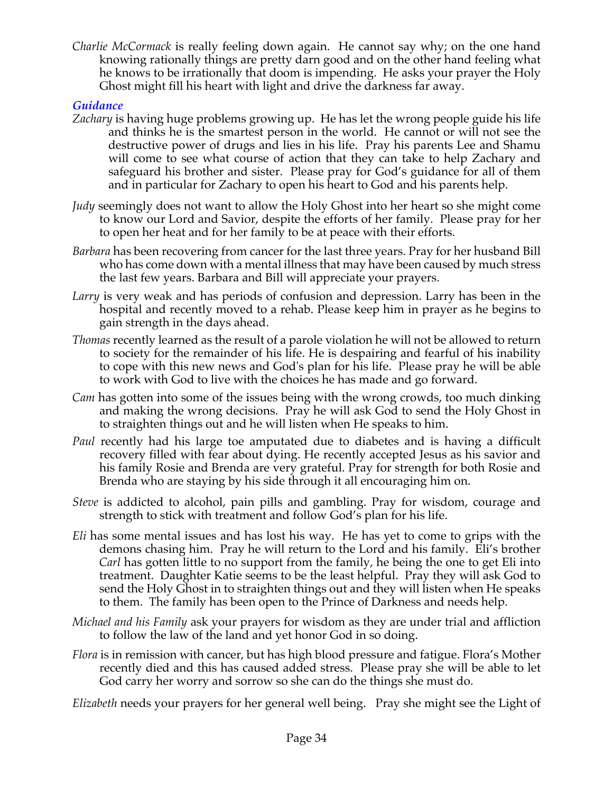*Charlie McCormack* is really feeling down again. He cannot say why; on the one hand knowing rationally things are pretty darn good and on the other hand feeling what he knows to be irrationally that doom is impending. He asks your prayer the Holy Ghost might fill his heart with light and drive the darkness far away.

# *Guidance*

- *Zachary* is having huge problems growing up. He has let the wrong people guide his life and thinks he is the smartest person in the world. He cannot or will not see the destructive power of drugs and lies in his life. Pray his parents Lee and Shamu will come to see what course of action that they can take to help Zachary and safeguard his brother and sister. Please pray for God's guidance for all of them and in particular for Zachary to open his heart to God and his parents help.
- *Judy* seemingly does not want to allow the Holy Ghost into her heart so she might come to know our Lord and Savior, despite the efforts of her family. Please pray for her to open her heat and for her family to be at peace with their efforts.
- *Barbara* has been recovering from cancer for the last three years. Pray for her husband Bill who has come down with a mental illness that may have been caused by much stress the last few years. Barbara and Bill will appreciate your prayers.
- *Larry* is very weak and has periods of confusion and depression. Larry has been in the hospital and recently moved to a rehab. Please keep him in prayer as he begins to gain strength in the days ahead.
- *Thomas* recently learned as the result of a parole violation he will not be allowed to return to society for the remainder of his life. He is despairing and fearful of his inability to cope with this new news and God's plan for his life. Please pray he will be able to work with God to live with the choices he has made and go forward.
- *Cam* has gotten into some of the issues being with the wrong crowds, too much dinking and making the wrong decisions. Pray he will ask God to send the Holy Ghost in to straighten things out and he will listen when He speaks to him.
- *Paul* recently had his large toe amputated due to diabetes and is having a difficult recovery filled with fear about dying. He recently accepted Jesus as his savior and his family Rosie and Brenda are very grateful. Pray for strength for both Rosie and Brenda who are staying by his side through it all encouraging him on.
- *Steve* is addicted to alcohol, pain pills and gambling. Pray for wisdom, courage and strength to stick with treatment and follow God's plan for his life.
- *Eli* has some mental issues and has lost his way. He has yet to come to grips with the demons chasing him. Pray he will return to the Lord and his family. Eli's brother *Carl* has gotten little to no support from the family, he being the one to get Eli into treatment. Daughter Katie seems to be the least helpful. Pray they will ask God to send the Holy Ghost in to straighten things out and they will listen when He speaks to them. The family has been open to the Prince of Darkness and needs help.
- *Michael and his Family* ask your prayers for wisdom as they are under trial and affliction to follow the law of the land and yet honor God in so doing.
- *Flora* is in remission with cancer, but has high blood pressure and fatigue. Flora's Mother recently died and this has caused added stress. Please pray she will be able to let God carry her worry and sorrow so she can do the things she must do.

*Elizabeth* needs your prayers for her general well being. Pray she might see the Light of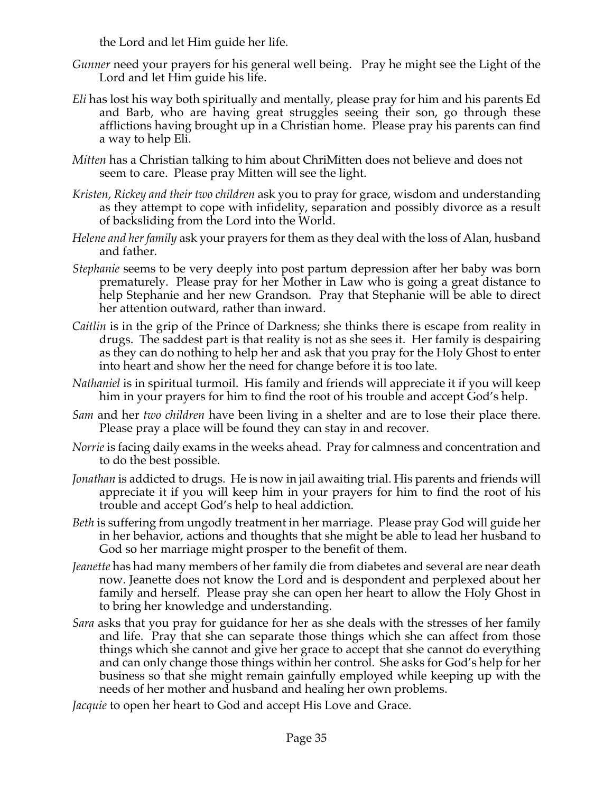the Lord and let Him guide her life.

- *Gunner* need your prayers for his general well being. Pray he might see the Light of the Lord and let Him guide his life.
- *Eli* has lost his way both spiritually and mentally, please pray for him and his parents Ed and Barb, who are having great struggles seeing their son, go through these afflictions having brought up in a Christian home. Please pray his parents can find a way to help Eli.
- *Mitten* has a Christian talking to him about ChriMitten does not believe and does not seem to care. Please pray Mitten will see the light.
- *Kristen, Rickey and their two children* ask you to pray for grace, wisdom and understanding as they attempt to cope with infidelity, separation and possibly divorce as a result of backsliding from the Lord into the World.
- *Helene and her family* ask your prayers for them as they deal with the loss of Alan, husband and father.
- *Stephanie* seems to be very deeply into post partum depression after her baby was born prematurely. Please pray for her Mother in Law who is going a great distance to help Stephanie and her new Grandson. Pray that Stephanie will be able to direct her attention outward, rather than inward.
- *Caitlin* is in the grip of the Prince of Darkness; she thinks there is escape from reality in drugs. The saddest part is that reality is not as she sees it. Her family is despairing as they can do nothing to help her and ask that you pray for the Holy Ghost to enter into heart and show her the need for change before it is too late.
- *Nathaniel* is in spiritual turmoil. His family and friends will appreciate it if you will keep him in your prayers for him to find the root of his trouble and accept God's help.
- *Sam* and her *two children* have been living in a shelter and are to lose their place there. Please pray a place will be found they can stay in and recover.
- *Norrie* is facing daily exams in the weeks ahead. Pray for calmness and concentration and to do the best possible.
- *Jonathan* is addicted to drugs. He is now in jail awaiting trial. His parents and friends will appreciate it if you will keep him in your prayers for him to find the root of his trouble and accept God's help to heal addiction.
- *Beth* is suffering from ungodly treatment in her marriage. Please pray God will guide her in her behavior, actions and thoughts that she might be able to lead her husband to God so her marriage might prosper to the benefit of them.
- *Jeanette* has had many members of her family die from diabetes and several are near death now. Jeanette does not know the Lord and is despondent and perplexed about her family and herself. Please pray she can open her heart to allow the Holy Ghost in to bring her knowledge and understanding.
- *Sara* asks that you pray for guidance for her as she deals with the stresses of her family and life. Pray that she can separate those things which she can affect from those things which she cannot and give her grace to accept that she cannot do everything and can only change those things within her control. She asks for God's help for her business so that she might remain gainfully employed while keeping up with the needs of her mother and husband and healing her own problems.
- *Jacquie* to open her heart to God and accept His Love and Grace.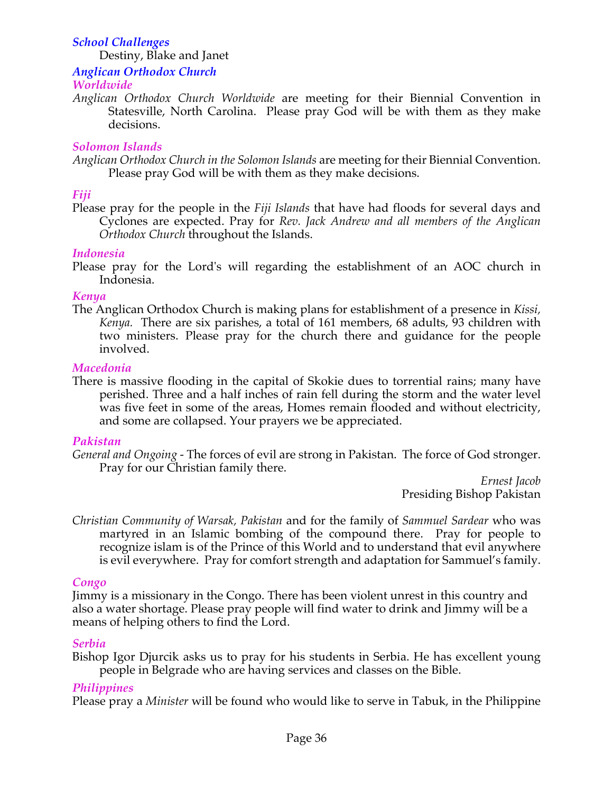# *School Challenges*

Destiny, Blake and Janet

# *Anglican Orthodox Church*

#### *Worldwide*

*Anglican Orthodox Church Worldwide* are meeting for their Biennial Convention in Statesville, North Carolina. Please pray God will be with them as they make decisions.

#### *Solomon Islands*

*Anglican Orthodox Church in the Solomon Islands* are meeting for their Biennial Convention. Please pray God will be with them as they make decisions.

## *Fiji*

Please pray for the people in the *Fiji Islands* that have had floods for several days and Cyclones are expected. Pray for *Rev. Jack Andrew and all members of the Anglican Orthodox Church* throughout the Islands.

#### *Indonesia*

Please pray for the Lord's will regarding the establishment of an AOC church in Indonesia.

#### *Kenya*

The Anglican Orthodox Church is making plans for establishment of a presence in *Kissi, Kenya.* There are six parishes, a total of 161 members, 68 adults, 93 children with two ministers. Please pray for the church there and guidance for the people involved.

#### *Macedonia*

There is massive flooding in the capital of Skokie dues to torrential rains; many have perished. Three and a half inches of rain fell during the storm and the water level was five feet in some of the areas, Homes remain flooded and without electricity, and some are collapsed. Your prayers we be appreciated.

#### *Pakistan*

*General and Ongoing -* The forces of evil are strong in Pakistan. The force of God stronger. Pray for our Christian family there.

*Ernest Jacob* Presiding Bishop Pakistan

*Christian Community of Warsak, Pakistan* and for the family of *Sammuel Sardear* who was martyred in an Islamic bombing of the compound there. Pray for people to recognize islam is of the Prince of this World and to understand that evil anywhere is evil everywhere. Pray for comfort strength and adaptation for Sammuel's family.

#### *Congo*

Jimmy is a missionary in the Congo. There has been violent unrest in this country and also a water shortage. Please pray people will find water to drink and Jimmy will be a means of helping others to find the Lord.

#### *Serbia*

Bishop Igor Djurcik asks us to pray for his students in Serbia. He has excellent young people in Belgrade who are having services and classes on the Bible.

#### *Philippines*

Please pray a *Minister* will be found who would like to serve in Tabuk, in the Philippine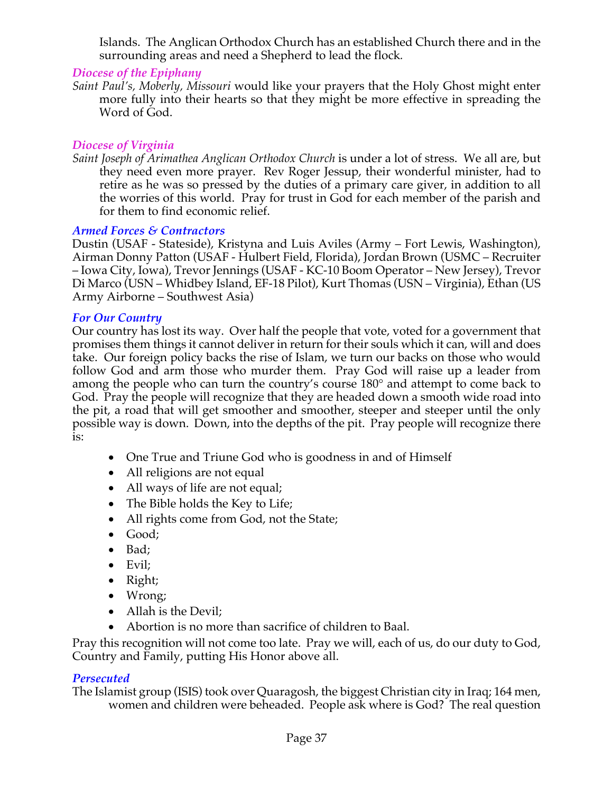Islands. The Anglican Orthodox Church has an established Church there and in the surrounding areas and need a Shepherd to lead the flock*.*

# *Diocese of the Epiphany*

*Saint Paul's, Moberly, Missouri* would like your prayers that the Holy Ghost might enter more fully into their hearts so that they might be more effective in spreading the Word of God.

# *Diocese of Virginia*

*Saint Joseph of Arimathea Anglican Orthodox Church* is under a lot of stress. We all are, but they need even more prayer. Rev Roger Jessup, their wonderful minister, had to retire as he was so pressed by the duties of a primary care giver, in addition to all the worries of this world. Pray for trust in God for each member of the parish and for them to find economic relief.

#### *Armed Forces & Contractors*

Dustin (USAF - Stateside), Kristyna and Luis Aviles (Army – Fort Lewis, Washington), Airman Donny Patton (USAF - Hulbert Field, Florida), Jordan Brown (USMC – Recruiter – Iowa City, Iowa), Trevor Jennings (USAF - KC-10 Boom Operator – New Jersey), Trevor Di Marco (USN – Whidbey Island, EF-18 Pilot), Kurt Thomas (USN – Virginia), Ethan (US Army Airborne – Southwest Asia)

#### *For Our Country*

Our country has lost its way. Over half the people that vote, voted for a government that promises them things it cannot deliver in return for their souls which it can, will and does take. Our foreign policy backs the rise of Islam, we turn our backs on those who would follow God and arm those who murder them. Pray God will raise up a leader from among the people who can turn the country's course 180° and attempt to come back to God. Pray the people will recognize that they are headed down a smooth wide road into the pit, a road that will get smoother and smoother, steeper and steeper until the only possible way is down. Down, into the depths of the pit. Pray people will recognize there is:

- One True and Triune God who is goodness in and of Himself
- All religions are not equal
- All ways of life are not equal;
- The Bible holds the Key to Life;
- All rights come from God, not the State;
- Good;
- Bad;
- Evil;
- Right;
- Wrong;
- Allah is the Devil;
- Abortion is no more than sacrifice of children to Baal.

Pray this recognition will not come too late. Pray we will, each of us, do our duty to God, Country and Family, putting His Honor above all.

#### *Persecuted*

The Islamist group (ISIS) took over Quaragosh, the biggest Christian city in Iraq; 164 men, women and children were beheaded. People ask where is God? The real question